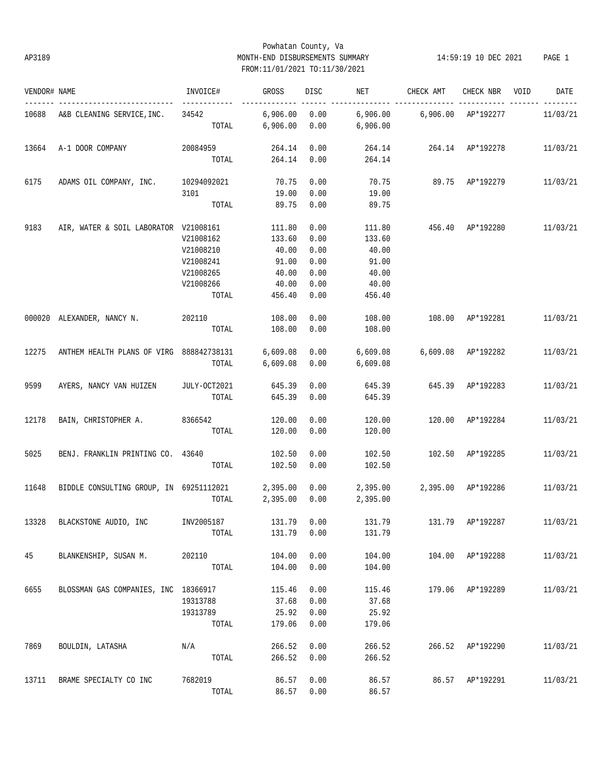# Powhatan County, Va AP3189 MONTH-END DISBURSEMENTS SUMMARY 14:59:19 10 DEC 2021 PAGE 1 FROM:11/01/2021 TO:11/30/2021

| VENDOR# NAME |                                                  | INVOICE#               | GROSS                         | DISC | NET                           | CHECK AMT                 | CHECK NBR        | VOID | DATE     |
|--------------|--------------------------------------------------|------------------------|-------------------------------|------|-------------------------------|---------------------------|------------------|------|----------|
|              | 10688 A&B CLEANING SERVICE, INC. 34542           | -------------<br>TOTAL | $6,906.00$ $0.00$<br>6,906.00 | 0.00 | 6,906.00                      |                           |                  |      | 11/03/21 |
|              |                                                  |                        |                               |      |                               |                           |                  |      |          |
| 13664        | A-1 DOOR COMPANY                                 | 20084959               | 264.14                        | 0.00 |                               | 264.14  264.14  AP*192278 |                  |      | 11/03/21 |
|              |                                                  | TOTAL                  | 264.14                        | 0.00 | 264.14                        |                           |                  |      |          |
| 6175         | ADAMS OIL COMPANY, INC. 10294092021              |                        | 70.75                         | 0.00 |                               | 70.75 89.75 AP*192279     |                  |      | 11/03/21 |
|              |                                                  | 3101                   | 19.00                         | 0.00 | 19.00                         |                           |                  |      |          |
|              |                                                  | TOTAL                  | 89.75                         | 0.00 | 89.75                         |                           |                  |      |          |
| 9183         | AIR, WATER & SOIL LABORATOR V21008161            |                        | 111.80                        | 0.00 | 111.80                        | 456.40                    | AP*192280        |      | 11/03/21 |
|              |                                                  | V21008162              | 133.60                        | 0.00 | 133.60                        |                           |                  |      |          |
|              |                                                  | V21008210              | 40.00                         | 0.00 | 40.00                         |                           |                  |      |          |
|              |                                                  | V21008241              | 91.00                         | 0.00 | 91.00                         |                           |                  |      |          |
|              |                                                  | V21008265              | 40.00                         | 0.00 | 40.00                         |                           |                  |      |          |
|              |                                                  | V21008266              | 40.00                         | 0.00 | 40.00                         |                           |                  |      |          |
|              |                                                  | TOTAL                  | 456.40                        | 0.00 | 456.40                        |                           |                  |      |          |
|              | 000020 ALEXANDER, NANCY N.                       | 202110                 | 108.00                        | 0.00 | 108.00                        | 108.00 AP*192281          |                  |      | 11/03/21 |
|              |                                                  | TOTAL                  | 108.00                        | 0.00 | 108.00                        |                           |                  |      |          |
| 12275        | ANTHEM HEALTH PLANS OF VIRG 888842738131         |                        | 6,609.08                      | 0.00 | 6,609.08                      | 6,609.08 AP*192282        |                  |      | 11/03/21 |
|              |                                                  | TOTAL                  | 6,609.08                      | 0.00 | 6,609.08                      |                           |                  |      |          |
| 9599         | AYERS, NANCY VAN HUIZEN JULY-OCT2021             |                        | 645.39                        | 0.00 | 645.39                        | 645.39 AP*192283          |                  |      | 11/03/21 |
|              |                                                  | TOTAL                  | 645.39                        | 0.00 | 645.39                        |                           |                  |      |          |
| 12178        | BAIN, CHRISTOPHER A. 8366542                     |                        | 120.00                        | 0.00 | 120.00                        | 120.00 AP*192284          |                  |      | 11/03/21 |
|              |                                                  | TOTAL                  | 120.00                        | 0.00 | 120.00                        |                           |                  |      |          |
| 5025         | BENJ. FRANKLIN PRINTING CO. 43640                |                        | 102.50                        | 0.00 | 102.50                        | 102.50 AP*192285          |                  |      | 11/03/21 |
|              |                                                  | TOTAL                  | 102.50                        | 0.00 | 102.50                        |                           |                  |      |          |
| 11648        | BIDDLE CONSULTING GROUP, IN 69251112021 2,395.00 |                        |                               | 0.00 | 2,395.00  2,395.00  AP*192286 |                           |                  |      | 11/03/21 |
|              |                                                  | TOTAL                  | 2,395.00                      | 0.00 | 2,395.00                      |                           |                  |      |          |
|              | 13328 BLACKSTONE AUDIO, INC INV2005187           |                        | 131.79 0.00                   |      | 131.79                        | 131.79 AP*192287 11/03/21 |                  |      |          |
|              |                                                  | TOTAL                  | 131.79                        | 0.00 | 131.79                        |                           |                  |      |          |
| 45           | BLANKENSHIP, SUSAN M.                            | 202110                 | 104.00                        | 0.00 | 104.00                        |                           | 104.00 AP*192288 |      | 11/03/21 |
|              |                                                  | TOTAL                  | 104.00                        | 0.00 | 104.00                        |                           |                  |      |          |
| 6655         | BLOSSMAN GAS COMPANIES, INC 18366917             |                        | 115.46                        | 0.00 | 115.46                        |                           | 179.06 AP*192289 |      | 11/03/21 |
|              |                                                  | 19313788               | 37.68                         | 0.00 | 37.68                         |                           |                  |      |          |
|              |                                                  | 19313789               | 25.92                         | 0.00 | 25.92                         |                           |                  |      |          |
|              |                                                  | TOTAL                  | 179.06                        | 0.00 | 179.06                        |                           |                  |      |          |
| 7869         | BOULDIN, LATASHA                                 | N/A                    | 266.52                        | 0.00 | 266.52                        |                           | 266.52 AP*192290 |      | 11/03/21 |
|              |                                                  | TOTAL                  | 266.52                        | 0.00 | 266.52                        |                           |                  |      |          |
| 13711        | BRAME SPECIALTY CO INC                           | 7682019                | 86.57                         | 0.00 | 86.57                         |                           | 86.57 AP*192291  |      | 11/03/21 |
|              |                                                  | TOTAL                  | 86.57                         | 0.00 | 86.57                         |                           |                  |      |          |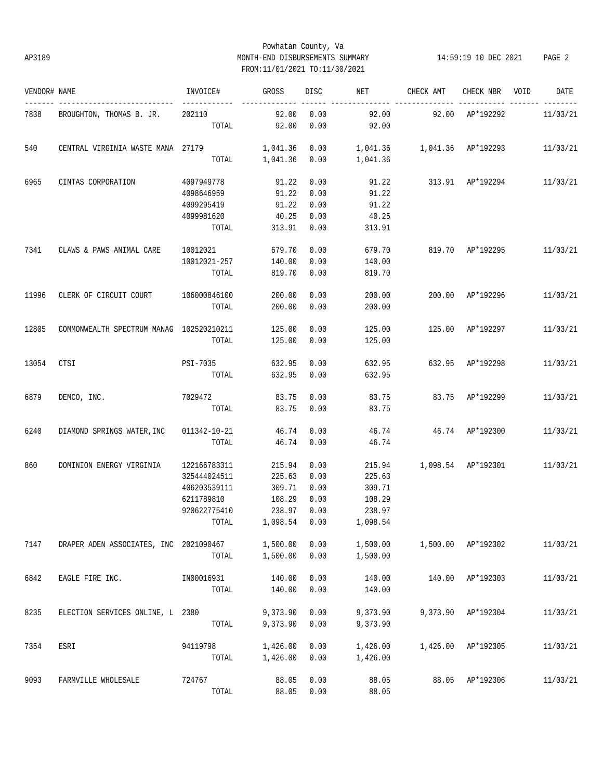# Powhatan County, Va AP3189 MONTH-END DISBURSEMENTS SUMMARY 14:59:19 10 DEC 2021 PAGE 2 FROM:11/01/2021 TO:11/30/2021

| VENDOR# NAME |                                                                                      | INVOICE#            | GROSS               | DISC | <b>NET</b> | CHECK AMT                       | CHECK NBR VOID         | DATE     |
|--------------|--------------------------------------------------------------------------------------|---------------------|---------------------|------|------------|---------------------------------|------------------------|----------|
| 7838         | BROUGHTON, THOMAS B. JR. 202110                                                      |                     | 92.00               | 0.00 | 92.00      | 92.00 AP*192292                 |                        | 11/03/21 |
|              |                                                                                      | TOTAL               | 92.00               | 0.00 | 92.00      |                                 |                        |          |
| 540          | CENTRAL VIRGINIA WASTE MANA 27179 1,041.36 0.00 1,041.36 1,041.36 AP*192293 11/03/21 |                     |                     |      |            |                                 |                        |          |
|              |                                                                                      |                     | TOTAL 1,041.36 0.00 |      | 1,041.36   |                                 |                        |          |
| 6965         | CINTAS CORPORATION                                                                   | 4097949778          | 91.22               | 0.00 |            | 91.22 313.91 AP*192294 11/03/21 |                        |          |
|              |                                                                                      | 4098646959          | 91.22               | 0.00 | 91.22      |                                 |                        |          |
|              |                                                                                      | 4099295419          | 91.22               | 0.00 | 91.22      |                                 |                        |          |
|              |                                                                                      | 4099981620          | 40.25               | 0.00 | 40.25      |                                 |                        |          |
|              |                                                                                      | TOTAL               | 313.91              | 0.00 | 313.91     |                                 |                        |          |
| 7341         | CLAWS & PAWS ANIMAL CARE                                                             | 10012021            | 679.70              | 0.00 | 679.70     | 819.70 AP*192295 11/03/21       |                        |          |
|              |                                                                                      | 10012021-257        | 140.00              | 0.00 | 140.00     |                                 |                        |          |
|              |                                                                                      | TOTAL               | 819.70              | 0.00 | 819.70     |                                 |                        |          |
| 11996        | CLERK OF CIRCUIT COURT 106000846100                                                  |                     | 200.00              | 0.00 | 200.00     |                                 | 200.00 AP*192296       | 11/03/21 |
|              |                                                                                      | TOTAL               | 200.00              | 0.00 | 200.00     |                                 |                        |          |
|              |                                                                                      |                     |                     |      |            |                                 |                        |          |
| 12805        | COMMONWEALTH SPECTRUM MANAG 102520210211                                             |                     | 125.00              | 0.00 | 125.00     | 125.00 AP*192297                |                        | 11/03/21 |
|              |                                                                                      | TOTAL               | 125.00              | 0.00 | 125.00     |                                 |                        |          |
| 13054        | CTSI                                                                                 | PSI-7035            | 632.95              | 0.00 | 632.95     | 632.95 AP*192298                |                        | 11/03/21 |
|              |                                                                                      | TOTAL               | 632.95              | 0.00 | 632.95     |                                 |                        |          |
| 6879         | DEMCO, INC.                                                                          | 7029472             | 83.75               | 0.00 | 83.75      | 83.75 AP*192299                 |                        | 11/03/21 |
|              |                                                                                      | TOTAL               | 83.75               | 0.00 | 83.75      |                                 |                        |          |
| 6240         | DIAMOND SPRINGS WATER, INC                                                           | 011342-10-21        | 46.74               | 0.00 |            | 46.74  46.74  AP*192300         |                        | 11/03/21 |
|              |                                                                                      | TOTAL               | 46.74               | 0.00 | 46.74      |                                 |                        |          |
| 860          | DOMINION ENERGY VIRGINIA                                                             | 122166783311        | 215.94              | 0.00 |            | 215.94 1,098.54 AP*192301       |                        | 11/03/21 |
|              |                                                                                      | 325444024511        | 225.63              | 0.00 | 225.63     |                                 |                        |          |
|              |                                                                                      | 406203539111        | 309.71              | 0.00 | 309.71     |                                 |                        |          |
|              |                                                                                      | 6211789810          | 108.29              | 0.00 | 108.29     |                                 |                        |          |
|              |                                                                                      | 920622775410        | 238.97              | 0.00 | 238.97     |                                 |                        |          |
|              |                                                                                      | TOTAL 1,098.54 0.00 |                     |      | 1,098.54   |                                 |                        |          |
| 7147         | DRAPER ADEN ASSOCIATES, INC 2021090467                                               |                     | 1,500.00            | 0.00 | 1,500.00   | 1,500.00 AP*192302              |                        | 11/03/21 |
|              |                                                                                      | $_{\tt TOTAL}$      | 1,500.00            | 0.00 | 1,500.00   |                                 |                        |          |
| 6842         | EAGLE FIRE INC.                                                                      | IN00016931          | 140.00              | 0.00 | 140.00     |                                 | 140.00 AP*192303       | 11/03/21 |
|              |                                                                                      | TOTAL               | 140.00              | 0.00 | 140.00     |                                 |                        |          |
| 8235         | ELECTION SERVICES ONLINE, L 2380                                                     |                     | 9,373.90            | 0.00 | 9,373.90   |                                 | $9,373.90$ $AP*192304$ | 11/03/21 |
|              |                                                                                      | TOTAL               | 9,373.90            | 0.00 | 9,373.90   |                                 |                        |          |
| 7354         | ESRI                                                                                 | 94119798            | 1,426.00            | 0.00 | 1,426.00   |                                 | 1,426.00 AP*192305     | 11/03/21 |
|              |                                                                                      | TOTAL               | 1,426.00            | 0.00 | 1,426.00   |                                 |                        |          |
| 9093         | FARMVILLE WHOLESALE                                                                  | 724767              | 88.05               | 0.00 | 88.05      |                                 | 88.05 AP*192306        | 11/03/21 |
|              |                                                                                      | TOTAL               | 88.05               | 0.00 | 88.05      |                                 |                        |          |
|              |                                                                                      |                     |                     |      |            |                                 |                        |          |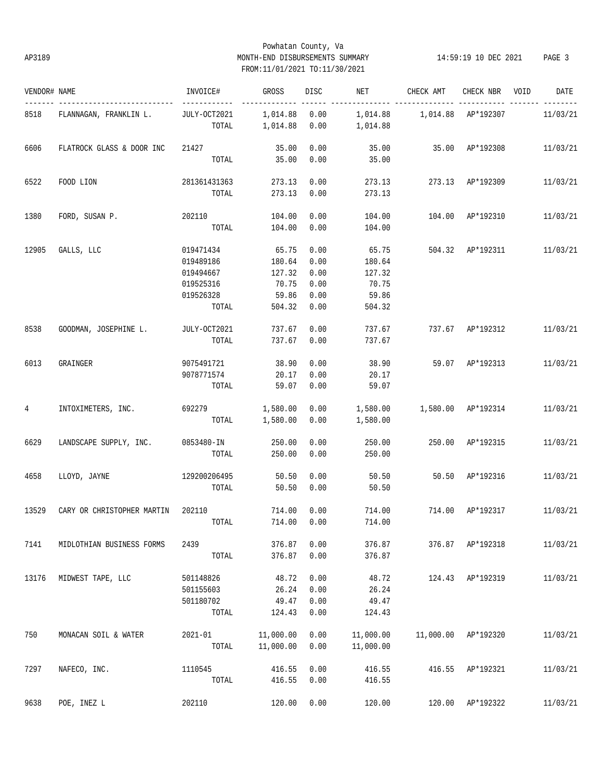# Powhatan County, Va AP3189 MONTH-END DISBURSEMENTS SUMMARY 14:59:19 10 DEC 2021 PAGE 3 FROM:11/01/2021 TO:11/30/2021

| VENDOR# NAME |                                   | INVOICE#              | GROSS                | DISC         | NET       | CHECK AMT                       | CHECK NBR VOID   | DATE     |
|--------------|-----------------------------------|-----------------------|----------------------|--------------|-----------|---------------------------------|------------------|----------|
| 8518         | FLANNAGAN, FRANKLIN L.            | JULY-OCT2021<br>TOTAL | 1,014.88<br>1,014.88 | 0.00<br>0.00 | 1,014.88  | 1,014.88   1,014.88   AP*192307 |                  | 11/03/21 |
|              |                                   |                       |                      |              |           |                                 |                  |          |
| 6606         | FLATROCK GLASS & DOOR INC         | 21427                 | 35.00                | 0.00         | 35.00     | 35.00 AP*192308                 |                  | 11/03/21 |
|              |                                   | TOTAL                 | 35.00                | 0.00         | 35.00     |                                 |                  |          |
| 6522         | FOOD LION                         | 281361431363          | 273.13               | 0.00         | 273.13    | 273.13 AP*192309                |                  | 11/03/21 |
|              |                                   | TOTAL                 | 273.13               | 0.00         | 273.13    |                                 |                  |          |
| 1380         | FORD, SUSAN P.                    | 202110                | 104.00               | 0.00         | 104.00    | 104.00                          | AP*192310        | 11/03/21 |
|              |                                   | TOTAL                 | 104.00               | 0.00         | 104.00    |                                 |                  |          |
| 12905        | GALLS, LLC                        | 019471434             | 65.75                | 0.00         | 65.75     |                                 | 504.32 AP*192311 | 11/03/21 |
|              |                                   | 019489186             | 180.64               | 0.00         | 180.64    |                                 |                  |          |
|              |                                   | 019494667             | 127.32               | 0.00         | 127.32    |                                 |                  |          |
|              |                                   | 019525316             | 70.75                | 0.00         | 70.75     |                                 |                  |          |
|              |                                   | 019526328             | 59.86                | 0.00         | 59.86     |                                 |                  |          |
|              |                                   | TOTAL                 | 504.32               | 0.00         | 504.32    |                                 |                  |          |
| 8538         | GOODMAN, JOSEPHINE L.             | JULY-OCT2021          | 737.67               | 0.00         | 737.67    |                                 | 737.67 AP*192312 | 11/03/21 |
|              |                                   | TOTAL                 | 737.67               | 0.00         | 737.67    |                                 |                  |          |
| 6013         | GRAINGER                          | 9075491721            | 38.90                | 0.00         | 38.90     | 59.07 AP*192313                 |                  | 11/03/21 |
|              |                                   | 9078771574            | 20.17                | 0.00         | 20.17     |                                 |                  |          |
|              |                                   | TOTAL                 | 59.07                | 0.00         | 59.07     |                                 |                  |          |
| 4            | INTOXIMETERS, INC.                | 692279                | 1,580.00             | 0.00         | 1,580.00  | 1,580.00 AP*192314              |                  | 11/03/21 |
|              |                                   | TOTAL                 | 1,580.00             | 0.00         | 1,580.00  |                                 |                  |          |
| 6629         | LANDSCAPE SUPPLY, INC. 0853480-IN |                       | 250.00               | 0.00         | 250.00    |                                 | 250.00 AP*192315 | 11/03/21 |
|              |                                   | TOTAL                 | 250.00               | 0.00         | 250.00    |                                 |                  |          |
| 4658         | LLOYD, JAYNE                      | 129200206495          | 50.50                | 0.00         | 50.50     |                                 | 50.50 AP*192316  | 11/03/21 |
|              |                                   | TOTAL                 | 50.50                | 0.00         | 50.50     |                                 |                  |          |
| 13529        | CARY OR CHRISTOPHER MARTIN        | 202110                | 714.00               | 0.00         | 714.00    | 714.00                          | AP*192317        | 11/03/21 |
|              |                                   | TOTAL                 | 714.00 0.00          |              | 714.00    |                                 |                  |          |
| 7141         | MIDLOTHIAN BUSINESS FORMS         | 2439                  | 376.87               | 0.00         | 376.87    |                                 | 376.87 AP*192318 | 11/03/21 |
|              |                                   | TOTAL                 | 376.87               | 0.00         | 376.87    |                                 |                  |          |
| 13176        | MIDWEST TAPE, LLC                 | 501148826             | 48.72                | 0.00         | 48.72     | 124.43                          | AP*192319        | 11/03/21 |
|              |                                   | 501155603             | 26.24                | 0.00         | 26.24     |                                 |                  |          |
|              |                                   | 501180702             | 49.47                | 0.00         | 49.47     |                                 |                  |          |
|              |                                   | TOTAL                 | 124.43               | 0.00         | 124.43    |                                 |                  |          |
| 750          | MONACAN SOIL & WATER              | $2021 - 01$           | 11,000.00            | 0.00         | 11,000.00 | 11,000.00                       | AP*192320        | 11/03/21 |
|              |                                   | TOTAL                 | 11,000.00            | 0.00         | 11,000.00 |                                 |                  |          |
| 7297         | NAFECO, INC.                      | 1110545               | 416.55               | 0.00         | 416.55    | 416.55                          | AP*192321        | 11/03/21 |
|              |                                   | TOTAL                 | 416.55               | 0.00         | 416.55    |                                 |                  |          |
| 9638         | POE, INEZ L                       | 202110                | 120.00               | 0.00         | 120.00    | 120.00                          | AP*192322        | 11/03/21 |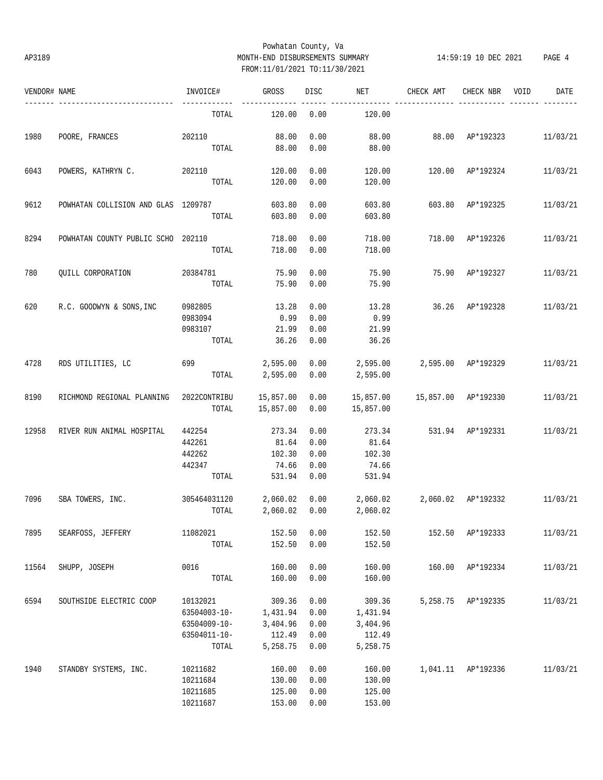# Powhatan County, Va AP3189 MONTH-END DISBURSEMENTS SUMMARY 14:59:19 10 DEC 2021 PAGE 4 FROM:11/01/2021 TO:11/30/2021

| VENDOR# NAME |                                        | INVOICE#               | GROSS          | DISC | NET                                | CHECK AMT           | CHECK NBR          | VOID | DATE     |
|--------------|----------------------------------------|------------------------|----------------|------|------------------------------------|---------------------|--------------------|------|----------|
|              |                                        | TOTAL                  | 120.00         | 0.00 | 120.00                             |                     |                    |      |          |
| 1980         | POORE, FRANCES                         | 202110                 | 88.00          | 0.00 | 88.00                              | 88.00 AP*192323     |                    |      | 11/03/21 |
|              |                                        | TOTAL                  | 88.00          | 0.00 | 88.00                              |                     |                    |      |          |
| 6043         | POWERS, KATHRYN C. 202110              |                        | 120.00         | 0.00 | 120.00                             |                     | 120.00 AP*192324   |      | 11/03/21 |
|              |                                        | TOTAL                  | 120.00         | 0.00 | 120.00                             |                     |                    |      |          |
| 9612         | POWHATAN COLLISION AND GLAS 1209787    |                        | 603.80         | 0.00 | 603.80                             | 603.80 AP*192325    |                    |      | 11/03/21 |
|              |                                        | TOTAL                  | 603.80         | 0.00 | 603.80                             |                     |                    |      |          |
| 8294         | POWHATAN COUNTY PUBLIC SCHO 202110     |                        | 718.00         | 0.00 | 718.00                             | 718.00 AP*192326    |                    |      | 11/03/21 |
|              |                                        | TOTAL                  | 718.00         | 0.00 | 718.00                             |                     |                    |      |          |
| 780          | QUILL CORPORATION                      | 20384781               | 75.90          | 0.00 | 75.90                              | 75.90 AP*192327     |                    |      | 11/03/21 |
|              |                                        | TOTAL                  | 75.90          | 0.00 | 75.90                              |                     |                    |      |          |
| 620          | R.C. GOODWYN & SONS, INC               | 0982805                | 13.28          | 0.00 | 13.28                              |                     | 36.26 AP*192328    |      | 11/03/21 |
|              |                                        | 0983094                | 0.99           | 0.00 | 0.99                               |                     |                    |      |          |
|              |                                        | 0983107                | 21.99          | 0.00 | 21.99                              |                     |                    |      |          |
|              |                                        | TOTAL                  | 36.26          | 0.00 | 36.26                              |                     |                    |      |          |
| 4728         | RDS UTILITIES, LC                      | 699                    | 2,595.00       |      | $0.00$ 2,595.00                    | 2,595.00 AP*192329  |                    |      | 11/03/21 |
|              |                                        |                        | TOTAL 2,595.00 | 0.00 | 2,595.00                           |                     |                    |      |          |
| 8190         | RICHMOND REGIONAL PLANNING             | 2022CONTRIBU 15,857.00 |                | 0.00 | 15,857.00                          | 15,857.00 AP*192330 |                    |      | 11/03/21 |
|              |                                        | TOTAL                  | 15,857.00      | 0.00 | 15,857.00                          |                     |                    |      |          |
| 12958        | RIVER RUN ANIMAL HOSPITAL              | 442254                 | 273.34         | 0.00 | 273.34                             |                     | 531.94 AP*192331   |      | 11/03/21 |
|              |                                        | 442261                 | 81.64          | 0.00 | 81.64                              |                     |                    |      |          |
|              |                                        | 442262                 | 102.30         | 0.00 | 102.30                             |                     |                    |      |          |
|              |                                        | 442347                 | 74.66          | 0.00 | 74.66                              |                     |                    |      |          |
|              |                                        | TOTAL                  | 531.94         | 0.00 | 531.94                             |                     |                    |      |          |
| 7096         | SBA TOWERS, INC. 305464031120 2,060.02 |                        |                |      | $0.00$ 2,060.02 2,060.02 AP*192332 |                     |                    |      | 11/03/21 |
|              |                                        | TOTAL                  | 2,060.02 0.00  |      | 2,060.02                           |                     |                    |      |          |
| 7895         | SEARFOSS, JEFFERY                      | 11082021               | 152.50         | 0.00 | 152.50                             |                     | 152.50 AP*192333   |      | 11/03/21 |
|              |                                        | TOTAL                  | 152.50         | 0.00 | 152.50                             |                     |                    |      |          |
| 11564        | SHUPP, JOSEPH                          | 0016                   | 160.00         | 0.00 | 160.00                             |                     | 160.00 AP*192334   |      | 11/03/21 |
|              |                                        | TOTAL                  | 160.00         | 0.00 | 160.00                             |                     |                    |      |          |
| 6594         | SOUTHSIDE ELECTRIC COOP                | 10132021               | 309.36         | 0.00 | 309.36                             |                     | 5,258.75 AP*192335 |      | 11/03/21 |
|              |                                        | 63504003-10-           | 1,431.94       | 0.00 | 1,431.94                           |                     |                    |      |          |
|              |                                        | 63504009-10-           | 3,404.96       | 0.00 | 3,404.96                           |                     |                    |      |          |
|              |                                        | 63504011-10-           | 112.49         | 0.00 | 112.49                             |                     |                    |      |          |
|              |                                        | TOTAL                  | 5,258.75       | 0.00 | 5,258.75                           |                     |                    |      |          |
| 1940         | STANDBY SYSTEMS, INC.                  | 10211682               | 160.00         | 0.00 | 160.00                             |                     | 1,041.11 AP*192336 |      | 11/03/21 |
|              |                                        | 10211684               | 130.00         | 0.00 | 130.00                             |                     |                    |      |          |
|              |                                        | 10211685               | 125.00         | 0.00 | 125.00                             |                     |                    |      |          |
|              |                                        | 10211687               | 153.00         | 0.00 | 153.00                             |                     |                    |      |          |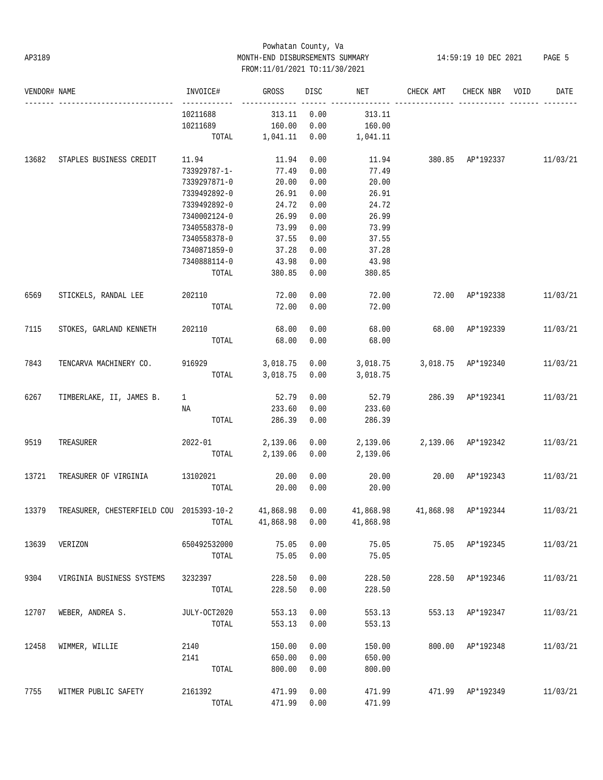# Powhatan County, Va AP3189 MONTH-END DISBURSEMENTS SUMMARY 14:59:19 10 DEC 2021 PAGE 5 FROM:11/01/2021 TO:11/30/2021

| VENDOR# NAME |                                                    | INVOICE#     | <b>GROSS</b> | DISC | NET                             | CHECK AMT                       | CHECK NBR        | VOID | DATE     |
|--------------|----------------------------------------------------|--------------|--------------|------|---------------------------------|---------------------------------|------------------|------|----------|
|              |                                                    | 10211688     | 313.11       | 0.00 | 313.11                          |                                 |                  |      |          |
|              |                                                    | 10211689     | 160.00       | 0.00 | 160.00                          |                                 |                  |      |          |
|              |                                                    | TOTAL        | 1,041.11     | 0.00 | 1,041.11                        |                                 |                  |      |          |
| 13682        | STAPLES BUSINESS CREDIT                            | 11.94        | 11.94        | 0.00 |                                 | 11.94 380.85 AP*192337 11/03/21 |                  |      |          |
|              |                                                    | 733929787-1- | 77.49        | 0.00 | 77.49                           |                                 |                  |      |          |
|              |                                                    | 7339297871-0 | 20.00        | 0.00 | 20.00                           |                                 |                  |      |          |
|              |                                                    | 7339492892-0 | 26.91        | 0.00 | 26.91                           |                                 |                  |      |          |
|              |                                                    | 7339492892-0 | 24.72        | 0.00 | 24.72                           |                                 |                  |      |          |
|              |                                                    | 7340002124-0 | 26.99        | 0.00 | 26.99                           |                                 |                  |      |          |
|              |                                                    | 7340558378-0 | 73.99        | 0.00 | 73.99                           |                                 |                  |      |          |
|              |                                                    | 7340558378-0 | 37.55        | 0.00 | 37.55                           |                                 |                  |      |          |
|              |                                                    | 7340871859-0 | 37.28        | 0.00 | 37.28                           |                                 |                  |      |          |
|              |                                                    | 7340888114-0 | 43.98        | 0.00 | 43.98                           |                                 |                  |      |          |
|              |                                                    | TOTAL        | 380.85       | 0.00 | 380.85                          |                                 |                  |      |          |
| 6569         | STICKELS, RANDAL LEE                               | 202110       | 72.00        | 0.00 | 72.00                           |                                 | 72.00 AP*192338  |      | 11/03/21 |
|              |                                                    | TOTAL        | 72.00        | 0.00 | 72.00                           |                                 |                  |      |          |
| 7115         | STOKES, GARLAND KENNETH                            | 202110       | 68.00        | 0.00 | 68.00                           |                                 | 68.00 AP*192339  |      | 11/03/21 |
|              |                                                    | TOTAL        | 68.00        | 0.00 | 68.00                           |                                 |                  |      |          |
| 7843         | TENCARVA MACHINERY CO.                             | 916929       | 3,018.75     | 0.00 | 3,018.75                        | 3,018.75 AP*192340              |                  |      | 11/03/21 |
|              |                                                    | TOTAL        | 3,018.75     | 0.00 | 3,018.75                        |                                 |                  |      |          |
| 6267         | TIMBERLAKE, II, JAMES B.                           | $\mathbf{1}$ | 52.79        | 0.00 | 52.79                           |                                 | 286.39 AP*192341 |      | 11/03/21 |
|              |                                                    | ΝA           | 233.60       | 0.00 | 233.60                          |                                 |                  |      |          |
|              |                                                    | TOTAL        | 286.39       | 0.00 | 286.39                          |                                 |                  |      |          |
| 9519         | TREASURER                                          | 2022-01      | 2,139.06     | 0.00 | 2,139.06                        | 2,139.06 AP*192342              |                  |      | 11/03/21 |
|              |                                                    | TOTAL        | 2,139.06     | 0.00 | 2,139.06                        |                                 |                  |      |          |
| 13721        | TREASURER OF VIRGINIA                              | 13102021     | 20.00        | 0.00 | 20.00                           |                                 | 20.00 AP*192343  |      | 11/03/21 |
|              |                                                    | TOTAL        | 20.00        | 0.00 | 20.00                           |                                 |                  |      |          |
| 13379        | TREASURER, CHESTERFIELD COU 2015393-10-2 41,868.98 |              |              | 0.00 | 41,868.98  41,868.98  AP*192344 |                                 |                  |      | 11/03/21 |
|              |                                                    | TOTAL        | 41,868.98    | 0.00 | 41,868.98                       |                                 |                  |      |          |
| 13639        | VERIZON                                            | 650492532000 | 75.05        | 0.00 | 75.05                           |                                 | 75.05 AP*192345  |      | 11/03/21 |
|              |                                                    | TOTAL        | 75.05        | 0.00 | 75.05                           |                                 |                  |      |          |
| 9304         | VIRGINIA BUSINESS SYSTEMS                          | 3232397      | 228.50       | 0.00 | 228.50                          |                                 | 228.50 AP*192346 |      | 11/03/21 |
|              |                                                    | TOTAL        | 228.50       | 0.00 | 228.50                          |                                 |                  |      |          |
| 12707        | WEBER, ANDREA S.                                   | JULY-OCT2020 | 553.13       | 0.00 | 553.13                          |                                 | 553.13 AP*192347 |      | 11/03/21 |
|              |                                                    | TOTAL        | 553.13       | 0.00 | 553.13                          |                                 |                  |      |          |
| 12458        | WIMMER, WILLIE                                     | 2140         | 150.00       | 0.00 | 150.00                          |                                 | 800.00 AP*192348 |      | 11/03/21 |
|              |                                                    | 2141         | 650.00       | 0.00 | 650.00                          |                                 |                  |      |          |
|              |                                                    | TOTAL        | 800.00       | 0.00 | 800.00                          |                                 |                  |      |          |
| 7755         | WITMER PUBLIC SAFETY                               | 2161392      | 471.99       | 0.00 | 471.99                          |                                 | 471.99 AP*192349 |      | 11/03/21 |
|              |                                                    | TOTAL        | 471.99       | 0.00 | 471.99                          |                                 |                  |      |          |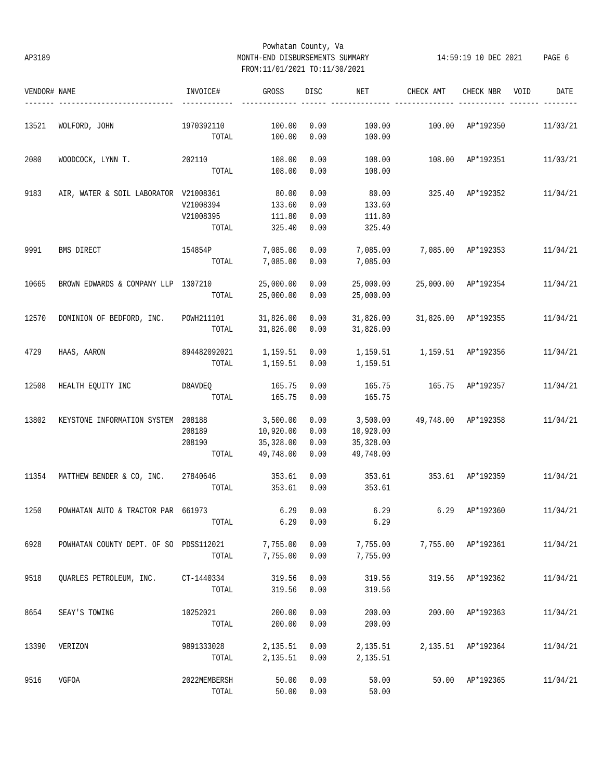# Powhatan County, Va AP3189 MONTH-END DISBURSEMENTS SUMMARY 14:59:19 10 DEC 2021 PAGE 6 FROM:11/01/2021 TO:11/30/2021

| VENDOR# NAME |                                        | INVOICE#     | GROSS     | DISC | NET                  | CHECK AMT          | CHECK NBR           | VOID | DATE     |
|--------------|----------------------------------------|--------------|-----------|------|----------------------|--------------------|---------------------|------|----------|
| 13521        | WOLFORD, JOHN                          | 1970392110   | 100.00    | 0.00 | 100.00               | 100.00             | AP*192350           |      | 11/03/21 |
|              |                                        | TOTAL        | 100.00    | 0.00 | 100.00               |                    |                     |      |          |
| 2080         | WOODCOCK, LYNN T.                      | 202110       | 108.00    | 0.00 | 108.00               | 108.00             | AP*192351           |      | 11/03/21 |
|              |                                        | TOTAL        | 108.00    | 0.00 | 108.00               |                    |                     |      |          |
| 9183         | AIR, WATER & SOIL LABORATOR V21008361  |              | 80.00     | 0.00 | 80.00                |                    | 325.40 AP*192352    |      | 11/04/21 |
|              |                                        | V21008394    | 133.60    | 0.00 | 133.60               |                    |                     |      |          |
|              |                                        | V21008395    | 111.80    | 0.00 | 111.80               |                    |                     |      |          |
|              |                                        | TOTAL        | 325.40    | 0.00 | 325.40               |                    |                     |      |          |
| 9991         | BMS DIRECT                             | 154854P      | 7,085.00  | 0.00 | 7,085.00             |                    | 7,085.00 AP*192353  |      | 11/04/21 |
|              |                                        | TOTAL        | 7,085.00  | 0.00 | 7,085.00             |                    |                     |      |          |
| 10665        | BROWN EDWARDS & COMPANY LLP 1307210    |              | 25,000.00 | 0.00 | 25,000.00            |                    | 25,000.00 AP*192354 |      | 11/04/21 |
|              |                                        | TOTAL        | 25,000.00 | 0.00 | 25,000.00            |                    |                     |      |          |
| 12570        | DOMINION OF BEDFORD, INC.              | POWH211101   | 31,826.00 | 0.00 | 31,826.00            |                    | 31,826.00 AP*192355 |      | 11/04/21 |
|              |                                        | TOTAL        | 31,826.00 | 0.00 | 31,826.00            |                    |                     |      |          |
| 4729         | HAAS, AARON                            | 894482092021 | 1,159.51  | 0.00 | 1,159.51             | 1,159.51 AP*192356 |                     |      | 11/04/21 |
|              |                                        | TOTAL        | 1,159.51  | 0.00 | 1,159.51             |                    |                     |      |          |
| 12508        | HEALTH EQUITY INC                      | D8AVDEQ      | 165.75    | 0.00 | 165.75               | 165.75 AP*192357   |                     |      | 11/04/21 |
|              |                                        | TOTAL        | 165.75    | 0.00 | 165.75               |                    |                     |      |          |
| 13802        | KEYSTONE INFORMATION SYSTEM 208188     |              | 3,500.00  | 0.00 | 3,500.00             |                    | 49,748.00 AP*192358 |      | 11/04/21 |
|              |                                        | 208189       | 10,920.00 | 0.00 | 10,920.00            |                    |                     |      |          |
|              |                                        | 208190       | 35,328.00 | 0.00 | 35,328.00            |                    |                     |      |          |
|              |                                        | TOTAL        | 49,748.00 | 0.00 | 49,748.00            |                    |                     |      |          |
| 11354        | MATTHEW BENDER & CO, INC. 27840646     |              | 353.61    | 0.00 | 353.61               |                    | 353.61 AP*192359    |      | 11/04/21 |
|              |                                        | TOTAL        | 353.61    | 0.00 | 353.61               |                    |                     |      |          |
| 1250         | POWHATAN AUTO & TRACTOR PAR 661973     |              | 6.29      | 0.00 | 6.29                 | 6.29               | AP*192360           |      | 11/04/21 |
|              |                                        |              |           |      | TOTAL 6.29 0.00 6.29 |                    |                     |      |          |
| 6928         | POWHATAN COUNTY DEPT. OF SO PDSS112021 |              | 7,755.00  | 0.00 | 7,755.00             |                    | 7,755.00 AP*192361  |      | 11/04/21 |
|              |                                        | TOTAL        | 7,755.00  | 0.00 | 7,755.00             |                    |                     |      |          |
| 9518         | QUARLES PETROLEUM, INC.                | CT-1440334   | 319.56    | 0.00 | 319.56               |                    | 319.56 AP*192362    |      | 11/04/21 |
|              |                                        | TOTAL        | 319.56    | 0.00 | 319.56               |                    |                     |      |          |
| 8654         | SEAY'S TOWING                          | 10252021     | 200.00    | 0.00 | 200.00               |                    | 200.00 AP*192363    |      | 11/04/21 |
|              |                                        | TOTAL        | 200.00    | 0.00 | 200.00               |                    |                     |      |          |
| 13390        | VERIZON                                | 9891333028   | 2,135.51  | 0.00 | 2,135.51             |                    | 2,135.51 AP*192364  |      | 11/04/21 |
|              |                                        | TOTAL        | 2,135.51  | 0.00 | 2,135.51             |                    |                     |      |          |
| 9516         | VGFOA                                  | 2022MEMBERSH | 50.00     | 0.00 | 50.00                |                    | 50.00 AP*192365     |      | 11/04/21 |
|              |                                        | TOTAL        | 50.00     | 0.00 | 50.00                |                    |                     |      |          |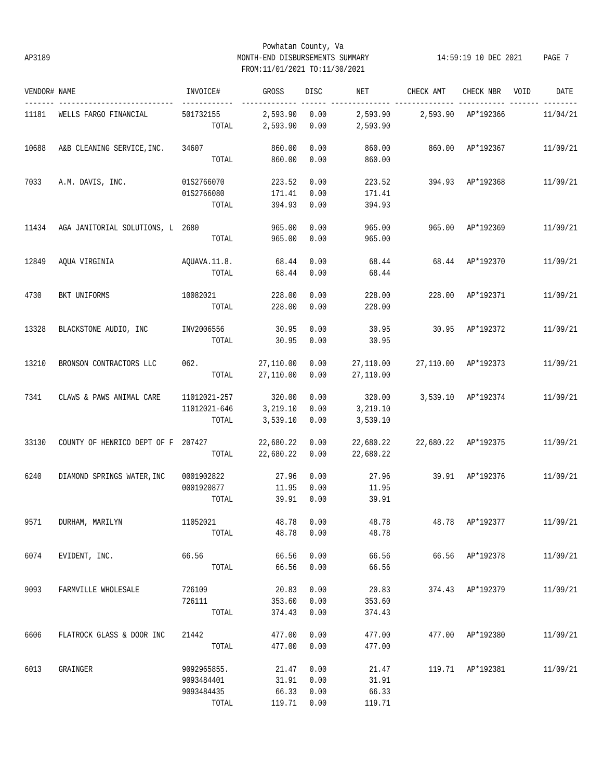# Powhatan County, Va AP3189 MONTH-END DISBURSEMENTS SUMMARY 14:59:19 10 DEC 2021 PAGE 7 FROM:11/01/2021 TO:11/30/2021

| VENDOR# NAME |                                    | INVOICE#               | GROSS     | DISC       | NET       | CHECK AMT                | CHECK NBR           | VOID | DATE     |
|--------------|------------------------------------|------------------------|-----------|------------|-----------|--------------------------|---------------------|------|----------|
| 11181        | WELLS FARGO FINANCIAL              | $- - - -$<br>501732155 | 2,593.90  | 0.00       | 2,593.90  |                          | 2,593.90 AP*192366  |      | 11/04/21 |
|              |                                    | TOTAL                  | 2,593.90  | 0.00       | 2,593.90  |                          |                     |      |          |
| 10688        | A&B CLEANING SERVICE, INC.         | 34607                  | 860.00    | 0.00       | 860.00    |                          | 860.00 AP*192367    |      | 11/09/21 |
|              |                                    | TOTAL                  | 860.00    | 0.00       | 860.00    |                          |                     |      |          |
|              |                                    |                        |           |            |           |                          |                     |      |          |
| 7033         | A.M. DAVIS, INC.                   | 01S2766070             | 223.52    | 0.00       | 223.52    | 394.93 AP*192368         |                     |      | 11/09/21 |
|              |                                    | 01S2766080             | 171.41    | 0.00       | 171.41    |                          |                     |      |          |
|              |                                    | TOTAL                  | 394.93    | 0.00       | 394.93    |                          |                     |      |          |
| 11434        | AGA JANITORIAL SOLUTIONS, L 2680   |                        | 965.00    | 0.00       | 965.00    | 965.00                   | AP*192369           |      | 11/09/21 |
|              |                                    | TOTAL                  | 965.00    | 0.00       | 965.00    |                          |                     |      |          |
| 12849        | AQUA VIRGINIA                      | AQUAVA.11.8.           | 68.44     | 0.00       | 68.44     | 68.44                    | AP*192370           |      | 11/09/21 |
|              |                                    | TOTAL                  | 68.44     | 0.00       | 68.44     |                          |                     |      |          |
|              |                                    |                        |           |            |           |                          |                     |      |          |
| 4730         | BKT UNIFORMS                       | 10082021               | 228.00    | 0.00       | 228.00    | 228.00                   | AP*192371           |      | 11/09/21 |
|              |                                    | TOTAL                  | 228.00    | 0.00       | 228.00    |                          |                     |      |          |
| 13328        | BLACKSTONE AUDIO, INC              | INV2006556             | 30.95     | 0.00       | 30.95     |                          | 30.95 AP*192372     |      | 11/09/21 |
|              |                                    | TOTAL                  | 30.95     | 0.00       | 30.95     |                          |                     |      |          |
|              |                                    |                        |           |            |           |                          |                     |      |          |
| 13210        | BRONSON CONTRACTORS LLC            | 062.                   | 27,110.00 | 0.00       | 27,110.00 |                          | 27,110.00 AP*192373 |      | 11/09/21 |
|              |                                    | TOTAL                  | 27,110.00 | 0.00       | 27,110.00 |                          |                     |      |          |
| 7341         | CLAWS & PAWS ANIMAL CARE           | 11012021-257           | 320.00    | 0.00       | 320.00    |                          | 3,539.10 AP*192374  |      | 11/09/21 |
|              |                                    | 11012021-646           | 3,219.10  | 0.00       | 3,219.10  |                          |                     |      |          |
|              |                                    | TOTAL                  | 3,539.10  | 0.00       | 3,539.10  |                          |                     |      |          |
| 33130        | COUNTY OF HENRICO DEPT OF F 207427 |                        | 22,680.22 | 0.00       | 22,680.22 | 22,680.22 AP*192375      |                     |      | 11/09/21 |
|              |                                    | TOTAL                  | 22,680.22 | 0.00       | 22,680.22 |                          |                     |      |          |
|              |                                    |                        |           |            |           |                          |                     |      |          |
| 6240         | DIAMOND SPRINGS WATER, INC         | 0001902822             | 27.96     | 0.00       | 27.96     |                          | 39.91 AP*192376     |      | 11/09/21 |
|              |                                    | 0001920877             | 11.95     | 0.00       | 11.95     |                          |                     |      |          |
|              |                                    | TOTAL                  | 39.91     | 0.00       | 39.91     |                          |                     |      |          |
| 9571         | DURHAM, MARILYN                    | 11052021               |           | 48.78 0.00 | 48.78     | 48.78 AP*192377 11/09/21 |                     |      |          |
|              |                                    | TOTAL                  | 48.78     | 0.00       | 48.78     |                          |                     |      |          |
|              |                                    |                        |           |            |           |                          |                     |      |          |
| 6074         | EVIDENT, INC.                      | 66.56                  | 66.56     | 0.00       | 66.56     |                          | 66.56 AP*192378     |      | 11/09/21 |
|              |                                    | TOTAL                  | 66.56     | 0.00       | 66.56     |                          |                     |      |          |
| 9093         | FARMVILLE WHOLESALE                | 726109                 | 20.83     | 0.00       | 20.83     |                          | 374.43 AP*192379    |      | 11/09/21 |
|              |                                    | 726111                 | 353.60    | 0.00       | 353.60    |                          |                     |      |          |
|              |                                    | TOTAL                  | 374.43    | 0.00       | 374.43    |                          |                     |      |          |
| 6606         | FLATROCK GLASS & DOOR INC          | 21442                  | 477.00    | 0.00       | 477.00    |                          | 477.00 AP*192380    |      | 11/09/21 |
|              |                                    | TOTAL                  | 477.00    | 0.00       | 477.00    |                          |                     |      |          |
|              |                                    |                        |           |            |           |                          |                     |      |          |
| 6013         | GRAINGER                           | 9092965855.            | 21.47     | 0.00       | 21.47     |                          | 119.71 AP*192381    |      | 11/09/21 |
|              |                                    | 9093484401             | 31.91     | 0.00       | 31.91     |                          |                     |      |          |
|              |                                    | 9093484435             | 66.33     | 0.00       | 66.33     |                          |                     |      |          |
|              |                                    | TOTAL                  | 119.71    | 0.00       | 119.71    |                          |                     |      |          |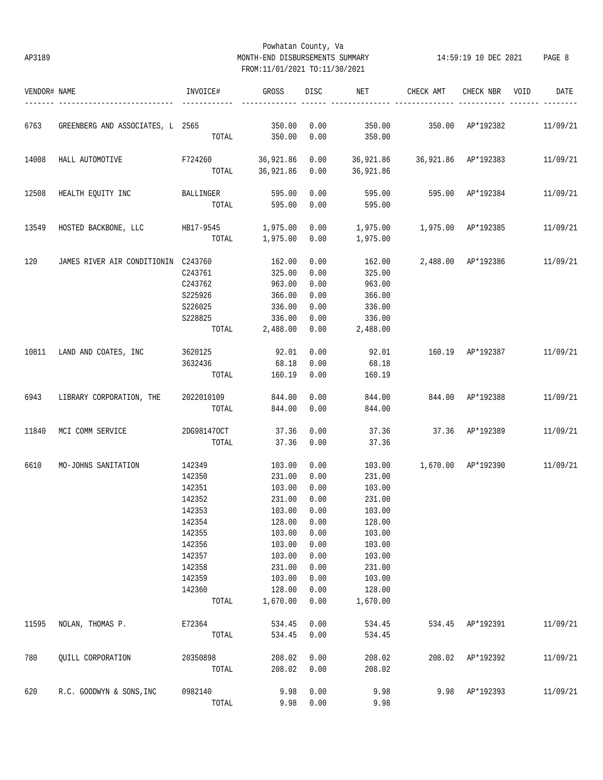# Powhatan County, Va AP3189 MONTH-END DISBURSEMENTS SUMMARY 14:59:19 10 DEC 2021 PAGE 8 FROM:11/01/2021 TO:11/30/2021

| VENDOR# NAME |                                            | INVOICE#        | GROSS                | DISC         | NET                           | CHECK AMT               | CHECK NBR          | VOID | DATE     |
|--------------|--------------------------------------------|-----------------|----------------------|--------------|-------------------------------|-------------------------|--------------------|------|----------|
| 6763         | GREENBERG AND ASSOCIATES, L 2565 350.00    |                 |                      | 0.00         |                               | 350.00 350.00 AP*192382 |                    |      | 11/09/21 |
|              |                                            |                 | TOTAL 350.00         | 0.00         | 350.00                        |                         |                    |      |          |
| 14008        | HALL AUTOMOTIVE F724260 36,921.86          |                 |                      | 0.00         | 36,921.86 36,921.86 AP*192383 |                         |                    |      | 11/09/21 |
|              |                                            |                 | TOTAL 36,921.86 0.00 |              | 36,921.86                     |                         |                    |      |          |
| 12508        | HEALTH EQUITY INC BALLINGER                |                 | 595.00               | 0.00         |                               | 595.00 595.00 AP*192384 |                    |      | 11/09/21 |
|              |                                            | TOTAL           | 595.00               | 0.00         | 595.00                        |                         |                    |      |          |
| 13549        | HOSTED BACKBONE, LLC HB17-9545             |                 | 1,975.00             | 0.00         |                               |                         |                    |      | 11/09/21 |
|              |                                            |                 | TOTAL 1,975.00       | 0.00         | 1,975.00                      |                         |                    |      |          |
| 120          | JAMES RIVER AIR CONDITIONIN C243760        |                 | 162.00               | 0.00         | 162.00                        |                         | 2,488.00 AP*192386 |      | 11/09/21 |
|              |                                            | C243761         | 325.00               | 0.00         | 325.00                        |                         |                    |      |          |
|              |                                            | C243762         | 963.00               | 0.00         | 963.00                        |                         |                    |      |          |
|              |                                            | S225926         | 366.00               | 0.00         | 366.00                        |                         |                    |      |          |
|              |                                            | S226025         | 336.00               | 0.00         | 336.00                        |                         |                    |      |          |
|              |                                            | S228825         | 336.00               | 0.00         | 336.00                        |                         |                    |      |          |
|              |                                            | TOTAL           | 2,488.00             | 0.00         | 2,488.00                      |                         |                    |      |          |
|              | 10811 LAND AND COATES, INC 3620125         |                 | 92.01                | 0.00         | 92.01                         | 160.19 AP*192387        |                    |      | 11/09/21 |
|              |                                            | 3632436         | 68.18                | 0.00         | 68.18                         |                         |                    |      |          |
|              |                                            |                 | TOTAL 160.19         | 0.00         | 160.19                        |                         |                    |      |          |
| 6943         | LIBRARY CORPORATION, THE 2022010109 844.00 |                 |                      | 0.00         | 844.00                        | 844.00 AP*192388        |                    |      | 11/09/21 |
|              |                                            | TOTAL           | 844.00               | 0.00         | 844.00                        |                         |                    |      |          |
| 11840        | MCI COMM SERVICE                           | 2DG981470CT     | 37.36                | 0.00         | 37.36                         | 37.36 AP*192389         |                    |      | 11/09/21 |
|              |                                            | TOTAL           | 37.36                | 0.00         | 37.36                         |                         |                    |      |          |
| 6610         | MO-JOHNS SANITATION                        | 142349          | 103.00               | 0.00         | 103.00                        | 1,670.00 AP*192390      |                    |      | 11/09/21 |
|              |                                            | 142350          | 231.00               | 0.00         | 231.00                        |                         |                    |      |          |
|              |                                            | 142351          | 103.00               | 0.00         | 103.00                        |                         |                    |      |          |
|              |                                            | 142352          | 231.00               | 0.00         | 231.00                        |                         |                    |      |          |
|              |                                            | 142353          | 103.00               | 0.00         | 103.00                        |                         |                    |      |          |
|              |                                            | 142354          | 128.00               | 0.00         | 128.00                        |                         |                    |      |          |
|              |                                            | 142355          | 103.00               | 0.00         | 103.00                        |                         |                    |      |          |
|              |                                            | 142356          | 103.00               | 0.00         | 103.00                        |                         |                    |      |          |
|              |                                            | 142357          | 103.00               | 0.00         | 103.00                        |                         |                    |      |          |
|              |                                            | 142358          | 231.00               | 0.00         | 231.00                        |                         |                    |      |          |
|              |                                            |                 |                      |              |                               |                         |                    |      |          |
|              |                                            | 142359          | 103.00               | 0.00         | 103.00                        |                         |                    |      |          |
|              |                                            | 142360<br>TOTAL | 128.00<br>1,670.00   | 0.00<br>0.00 | 128.00<br>1,670.00            |                         |                    |      |          |
|              |                                            |                 |                      |              |                               |                         |                    |      |          |
| 11595        | NOLAN, THOMAS P.                           | E72364          | 534.45               | 0.00         | 534.45                        | 534.45                  | AP*192391          |      | 11/09/21 |
|              |                                            | TOTAL           | 534.45               | 0.00         | 534.45                        |                         |                    |      |          |
| 780          | QUILL CORPORATION                          | 20350898        | 208.02               | 0.00         | 208.02                        | 208.02                  | AP*192392          |      | 11/09/21 |
|              |                                            | TOTAL           | 208.02               | 0.00         | 208.02                        |                         |                    |      |          |
| 620          | R.C. GOODWYN & SONS, INC                   | 0982140         | 9.98                 | 0.00         | 9.98                          | 9.98                    | AP*192393          |      | 11/09/21 |
|              |                                            | TOTAL           | 9.98                 | 0.00         | 9.98                          |                         |                    |      |          |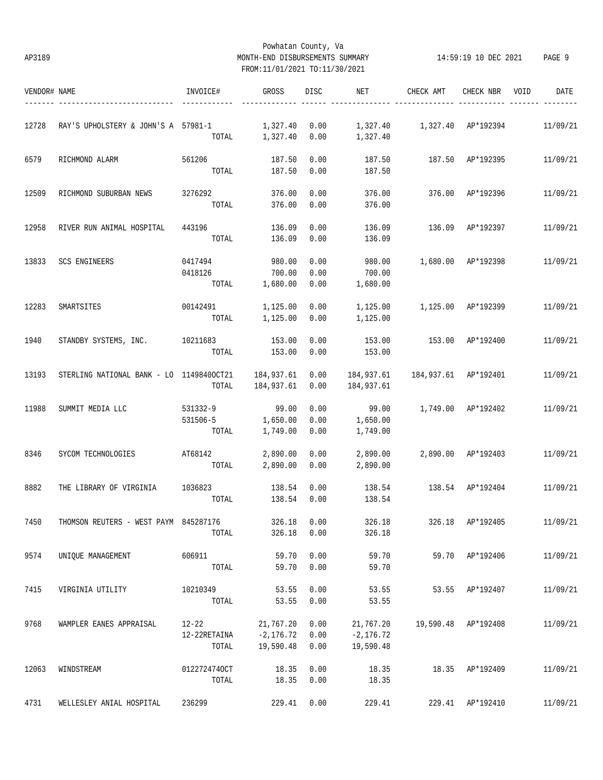# Powhatan County, Va AP3189 MONTH-END DISBURSEMENTS SUMMARY 14:59:19 10 DEC 2021 PAGE 9 FROM:11/01/2021 TO:11/30/2021

| VENDOR# NAME |                                          | INVOICE#     | <b>GROSS</b>             | <b>DISC</b>  | NET                      | CHECK AMT            | CHECK NBR          | VOID<br>DATE |
|--------------|------------------------------------------|--------------|--------------------------|--------------|--------------------------|----------------------|--------------------|--------------|
|              |                                          |              |                          |              |                          |                      |                    |              |
| 12728        | RAY'S UPHOLSTERY & JOHN'S A 57981-1      |              | 1,327.40                 | 0.00         |                          |                      |                    | 11/09/21     |
|              |                                          | TOTAL        | 1,327.40                 | 0.00         | 1,327.40                 |                      |                    |              |
| 6579         | RICHMOND ALARM                           | 561206       | 187.50                   | 0.00         | 187.50                   | 187.50               | AP*192395          | 11/09/21     |
|              |                                          | TOTAL        | 187.50                   | 0.00         | 187.50                   |                      |                    |              |
| 12509        | RICHMOND SUBURBAN NEWS                   | 3276292      | 376.00                   | 0.00         | 376.00                   | 376.00               | AP*192396          | 11/09/21     |
|              |                                          | TOTAL        | 376.00                   | 0.00         | 376.00                   |                      |                    |              |
| 12958        | RIVER RUN ANIMAL HOSPITAL                | 443196       | 136.09                   | 0.00         | 136.09                   | 136.09               | AP*192397          | 11/09/21     |
|              |                                          | TOTAL        | 136.09                   | 0.00         | 136.09                   |                      |                    |              |
| 13833        | SCS ENGINEERS                            | 0417494      | 980.00                   | 0.00         | 980.00                   |                      | 1,680.00 AP*192398 | 11/09/21     |
|              |                                          | 0418126      | 700.00                   | 0.00         | 700.00                   |                      |                    |              |
|              |                                          | TOTAL        | 1,680.00                 | 0.00         | 1,680.00                 |                      |                    |              |
| 12283        | SMARTSITES                               | 00142491     | 1,125.00                 | 0.00         | 1,125.00                 | 1,125.00 AP*192399   |                    | 11/09/21     |
|              |                                          | TOTAL        | 1,125.00                 | 0.00         | 1,125.00                 |                      |                    |              |
| 1940         | STANDBY SYSTEMS, INC.                    | 10211683     | 153.00                   | 0.00         | 153.00                   | 153.00               | AP*192400          | 11/09/21     |
|              |                                          | TOTAL        | 153.00                   | 0.00         | 153.00                   |                      |                    |              |
|              |                                          |              |                          |              |                          |                      |                    |              |
| 13193        | STERLING NATIONAL BANK - LO 11498400CT21 |              | 184,937.61<br>184,937.61 | 0.00<br>0.00 | 184,937.61<br>184,937.61 | 184,937.61 AP*192401 |                    | 11/09/21     |
|              |                                          | TOTAL        |                          |              |                          |                      |                    |              |
| 11988        | SUMMIT MEDIA LLC                         | 531332-9     | 99.00                    | 0.00         | 99.00                    | 1,749.00 AP*192402   |                    | 11/09/21     |
|              |                                          | 531506-5     | 1,650.00                 | 0.00         | 1,650.00                 |                      |                    |              |
|              |                                          | TOTAL        | 1,749.00                 | 0.00         | 1,749.00                 |                      |                    |              |
| 8346         | SYCOM TECHNOLOGIES                       | AT68142      | 2,890.00                 | 0.00         | 2,890.00                 |                      | 2,890.00 AP*192403 | 11/09/21     |
|              |                                          | TOTAL        | 2,890.00                 | 0.00         | 2,890.00                 |                      |                    |              |
| 8882         | THE LIBRARY OF VIRGINIA                  | 1036823      | 138.54                   | 0.00         | 138.54                   | 138.54               | AP*192404          | 11/09/21     |
|              |                                          | TOTAL        | 138.54                   | 0.00         | 138.54                   |                      |                    |              |
| 7450         | THOMSON REUTERS - WEST PAYM 845287176    |              | 326.18                   | 0.00         | 326.18                   | 326.18               | AP*192405          | 11/09/21     |
|              |                                          | TOTAL        | 326.18                   | 0.00         | 326.18                   |                      |                    |              |
| 9574         | UNIQUE MANAGEMENT                        | 606911       | 59.70                    | 0.00         | 59.70                    |                      | 59.70 AP*192406    | 11/09/21     |
|              |                                          | TOTAL        | 59.70                    | 0.00         | 59.70                    |                      |                    |              |
| 7415         | VIRGINIA UTILITY                         | 10210349     | 53.55                    | 0.00         | 53.55                    | 53.55                | AP*192407          | 11/09/21     |
|              |                                          | TOTAL        | 53.55                    | 0.00         | 53.55                    |                      |                    |              |
| 9768         | WAMPLER EANES APPRAISAL                  | $12 - 22$    | 21,767.20                | 0.00         | 21,767.20                | 19,590.48            | AP*192408          | 11/09/21     |
|              |                                          | 12-22RETAINA | $-2, 176.72$             | 0.00         | $-2, 176.72$             |                      |                    |              |
|              |                                          | TOTAL        | 19,590.48                | 0.00         | 19,590.48                |                      |                    |              |
|              |                                          |              |                          |              |                          |                      |                    |              |
| 12063        | WINDSTREAM                               | 0122724740CT | 18.35                    | 0.00         | 18.35                    |                      | 18.35 AP*192409    | 11/09/21     |
|              |                                          | TOTAL        | 18.35                    | 0.00         | 18.35                    |                      |                    |              |
| 4731         | WELLESLEY ANIAL HOSPITAL                 | 236299       | 229.41                   | 0.00         | 229.41                   |                      | 229.41 AP*192410   | 11/09/21     |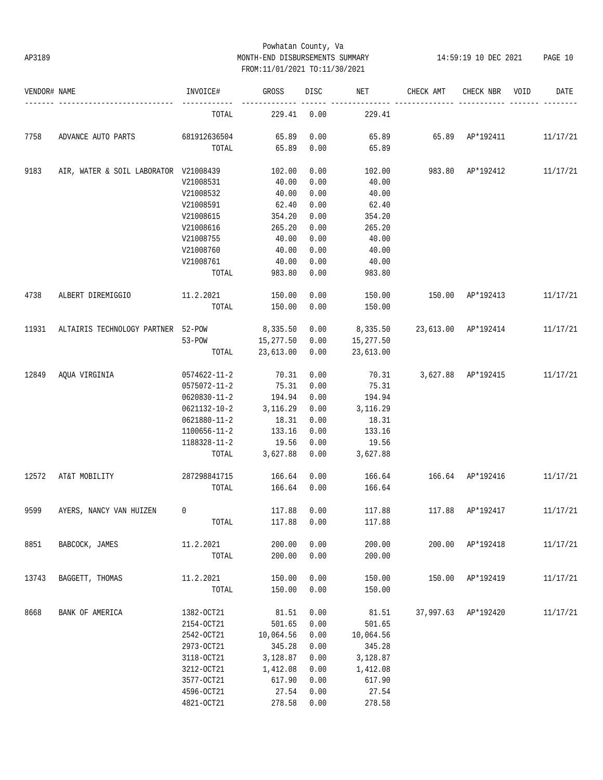# Powhatan County, Va AP3189 MONTH-END DISBURSEMENTS SUMMARY 14:59:19 10 DEC 2021 PAGE 10 FROM:11/01/2021 TO:11/30/2021

| VENDOR# NAME |                                       | INVOICE#     | GROSS          | DISC | NET       | CHECK AMT           | CHECK NBR                   | VOID | DATE     |
|--------------|---------------------------------------|--------------|----------------|------|-----------|---------------------|-----------------------------|------|----------|
|              |                                       | TOTAL        | 229.41         | 0.00 | 229.41    |                     |                             |      |          |
| 7758         | ADVANCE AUTO PARTS                    | 681912636504 | 65.89          | 0.00 | 65.89     |                     | 65.89 AP*192411             |      | 11/17/21 |
|              |                                       | TOTAL        | 65.89          | 0.00 | 65.89     |                     |                             |      |          |
| 9183         | AIR, WATER & SOIL LABORATOR V21008439 |              | 102.00         | 0.00 | 102.00    | 983.80 AP*192412    |                             |      | 11/17/21 |
|              |                                       | V21008531    | 40.00          | 0.00 | 40.00     |                     |                             |      |          |
|              |                                       | V21008532    | 40.00          | 0.00 | 40.00     |                     |                             |      |          |
|              |                                       | V21008591    | 62.40          | 0.00 | 62.40     |                     |                             |      |          |
|              |                                       | V21008615    | 354.20         | 0.00 | 354.20    |                     |                             |      |          |
|              |                                       | V21008616    | 265.20         | 0.00 | 265.20    |                     |                             |      |          |
|              |                                       | V21008755    | 40.00          | 0.00 | 40.00     |                     |                             |      |          |
|              |                                       | V21008760    | 40.00          | 0.00 | 40.00     |                     |                             |      |          |
|              |                                       | V21008761    | 40.00          | 0.00 | 40.00     |                     |                             |      |          |
|              |                                       | TOTAL        | 983.80         | 0.00 | 983.80    |                     |                             |      |          |
| 4738         | ALBERT DIREMIGGIO                     | 11.2.2021    | 150.00         | 0.00 | 150.00    | 150.00              | AP*192413                   |      | 11/17/21 |
|              |                                       | TOTAL        | 150.00         | 0.00 | 150.00    |                     |                             |      |          |
| 11931        | ALTAIRIS TECHNOLOGY PARTNER 52-POW    |              | 8,335.50       | 0.00 | 8,335.50  | 23,613.00 AP*192414 |                             |      | 11/17/21 |
|              |                                       | $53 - POW$   | 15,277.50 0.00 |      | 15,277.50 |                     |                             |      |          |
|              |                                       | TOTAL        | 23,613.00      | 0.00 | 23,613.00 |                     |                             |      |          |
| 12849        | AQUA VIRGINIA                         | 0574622-11-2 | 70.31          | 0.00 | 70.31     |                     | 3,627.88 AP*192415 11/17/21 |      |          |
|              |                                       | 0575072-11-2 | 75.31          | 0.00 | 75.31     |                     |                             |      |          |
|              |                                       | 0620830-11-2 | 194.94         | 0.00 | 194.94    |                     |                             |      |          |
|              |                                       | 0621132-10-2 | 3,116.29       | 0.00 | 3,116.29  |                     |                             |      |          |
|              |                                       | 0621880-11-2 | 18.31          | 0.00 | 18.31     |                     |                             |      |          |
|              |                                       | 1100656-11-2 | 133.16         | 0.00 | 133.16    |                     |                             |      |          |
|              |                                       | 1188328-11-2 | 19.56          | 0.00 | 19.56     |                     |                             |      |          |
|              |                                       | TOTAL        | 3,627.88       | 0.00 | 3,627.88  |                     |                             |      |          |
| 12572        | AT&T MOBILITY                         | 287298841715 | 166.64         | 0.00 | 166.64    | 166.64 AP*192416    |                             |      | 11/17/21 |
|              |                                       | TOTAL        | 166.64         | 0.00 | 166.64    |                     |                             |      |          |
| 9599         | AYERS, NANCY VAN HUIZEN               | $\mathbf 0$  | 117.88         | 0.00 | 117.88    | 117.88              | AP*192417                   |      | 11/17/21 |
|              |                                       | TOTAL        | 117.88         | 0.00 | 117.88    |                     |                             |      |          |
| 8851         | BABCOCK, JAMES                        | 11.2.2021    | 200.00         | 0.00 | 200.00    | 200.00              | AP*192418                   |      | 11/17/21 |
|              |                                       | TOTAL        | 200.00         | 0.00 | 200.00    |                     |                             |      |          |
| 13743        | BAGGETT, THOMAS                       | 11.2.2021    | 150.00         | 0.00 | 150.00    | 150.00              | AP*192419                   |      | 11/17/21 |
|              |                                       | TOTAL        | 150.00         | 0.00 | 150.00    |                     |                             |      |          |
| 8668         | BANK OF AMERICA                       | 1382-OCT21   | 81.51          | 0.00 | 81.51     | 37,997.63           | AP*192420                   |      | 11/17/21 |
|              |                                       | 2154-OCT21   | 501.65         | 0.00 | 501.65    |                     |                             |      |          |
|              |                                       | 2542-OCT21   | 10,064.56      | 0.00 | 10,064.56 |                     |                             |      |          |
|              |                                       | 2973-OCT21   | 345.28         | 0.00 | 345.28    |                     |                             |      |          |
|              |                                       | 3118-OCT21   | 3,128.87       | 0.00 | 3,128.87  |                     |                             |      |          |
|              |                                       | 3212-OCT21   | 1,412.08       | 0.00 | 1,412.08  |                     |                             |      |          |
|              |                                       | 3577-OCT21   | 617.90         | 0.00 | 617.90    |                     |                             |      |          |
|              |                                       | 4596-OCT21   | 27.54          | 0.00 | 27.54     |                     |                             |      |          |
|              |                                       | 4821-OCT21   | 278.58         | 0.00 | 278.58    |                     |                             |      |          |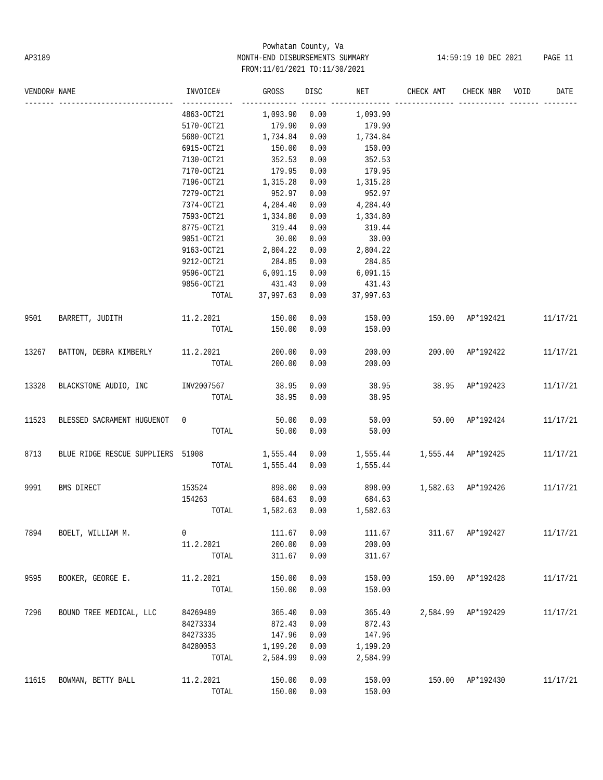# Powhatan County, Va AP3189 MONTH-END DISBURSEMENTS SUMMARY 14:59:19 10 DEC 2021 PAGE 11 FROM:11/01/2021 TO:11/30/2021

| VENDOR# NAME |                                   | INVOICE#   | GROSS           | DISC | NET       | CHECK AMT                       | CHECK NBR        | VOID | DATE     |
|--------------|-----------------------------------|------------|-----------------|------|-----------|---------------------------------|------------------|------|----------|
|              |                                   | 4863-OCT21 | 1,093.90        | 0.00 | 1,093.90  |                                 |                  |      |          |
|              |                                   | 5170-OCT21 | 179.90          | 0.00 | 179.90    |                                 |                  |      |          |
|              |                                   | 5680-OCT21 | 1,734.84        | 0.00 | 1,734.84  |                                 |                  |      |          |
|              |                                   | 6915-OCT21 | 150.00          | 0.00 | 150.00    |                                 |                  |      |          |
|              |                                   | 7130-OCT21 | 352.53          | 0.00 | 352.53    |                                 |                  |      |          |
|              |                                   | 7170-OCT21 | 179.95          | 0.00 | 179.95    |                                 |                  |      |          |
|              |                                   | 7196-OCT21 | 1,315.28        | 0.00 | 1,315.28  |                                 |                  |      |          |
|              |                                   | 7279-OCT21 | 952.97          | 0.00 | 952.97    |                                 |                  |      |          |
|              |                                   | 7374-OCT21 | 4,284.40        | 0.00 | 4,284.40  |                                 |                  |      |          |
|              |                                   | 7593-OCT21 | 1,334.80        | 0.00 | 1,334.80  |                                 |                  |      |          |
|              |                                   | 8775-OCT21 | 319.44          | 0.00 | 319.44    |                                 |                  |      |          |
|              |                                   | 9051-OCT21 | 30.00           | 0.00 | 30.00     |                                 |                  |      |          |
|              |                                   | 9163-OCT21 | 2,804.22        | 0.00 | 2,804.22  |                                 |                  |      |          |
|              |                                   | 9212-OCT21 | 284.85          | 0.00 | 284.85    |                                 |                  |      |          |
|              |                                   | 9596-OCT21 | 6,091.15        | 0.00 | 6,091.15  |                                 |                  |      |          |
|              |                                   | 9856-OCT21 | 431.43          | 0.00 | 431.43    |                                 |                  |      |          |
|              |                                   |            | TOTAL 37,997.63 | 0.00 | 37,997.63 |                                 |                  |      |          |
| 9501         | BARRETT, JUDITH                   | 11.2.2021  | 150.00          | 0.00 | 150.00    |                                 | 150.00 AP*192421 |      | 11/17/21 |
|              |                                   | TOTAL      | 150.00          | 0.00 | 150.00    |                                 |                  |      |          |
| 13267        | BATTON, DEBRA KIMBERLY 11.2.2021  |            | 200.00          | 0.00 | 200.00    |                                 | 200.00 AP*192422 |      | 11/17/21 |
|              |                                   | TOTAL      | 200.00          | 0.00 | 200.00    |                                 |                  |      |          |
| 13328        | BLACKSTONE AUDIO, INC             | INV2007567 | 38.95           | 0.00 | 38.95     | 38.95 AP*192423                 |                  |      | 11/17/21 |
|              |                                   | TOTAL      | 38.95           | 0.00 | 38.95     |                                 |                  |      |          |
| 11523        | BLESSED SACRAMENT HUGUENOT        | 0          | 50.00           | 0.00 | 50.00     |                                 | 50.00 AP*192424  |      | 11/17/21 |
|              |                                   | TOTAL      | 50.00           | 0.00 | 50.00     |                                 |                  |      |          |
| 8713         | BLUE RIDGE RESCUE SUPPLIERS 51908 |            | 1,555.44        | 0.00 |           | 1,555.44   1,555.44   AP*192425 |                  |      | 11/17/21 |
|              |                                   | TOTAL      | 1,555.44        | 0.00 | 1,555.44  |                                 |                  |      |          |
| 9991         | BMS DIRECT                        | 153524     | 898.00          | 0.00 |           | 898.00 1,582.63 AP*192426       |                  |      | 11/17/21 |
|              |                                   | 154263     | 684.63          | 0.00 | 684.63    |                                 |                  |      |          |
|              |                                   |            | TOTAL 1,582.63  | 0.00 | 1,582.63  |                                 |                  |      |          |
| 7894         | BOELT, WILLIAM M.                 | 0          | 111.67          | 0.00 | 111.67    | 311.67                          | AP*192427        |      | 11/17/21 |
|              |                                   | 11.2.2021  | 200.00          | 0.00 | 200.00    |                                 |                  |      |          |
|              |                                   | TOTAL      | 311.67          | 0.00 | 311.67    |                                 |                  |      |          |
| 9595         | BOOKER, GEORGE E.                 | 11.2.2021  | 150.00          | 0.00 | 150.00    | 150.00                          | AP*192428        |      | 11/17/21 |
|              |                                   | TOTAL      | 150.00          | 0.00 | 150.00    |                                 |                  |      |          |
| 7296         | BOUND TREE MEDICAL, LLC           | 84269489   | 365.40          | 0.00 | 365.40    | 2,584.99                        | AP*192429        |      | 11/17/21 |
|              |                                   | 84273334   | 872.43          | 0.00 | 872.43    |                                 |                  |      |          |
|              |                                   | 84273335   | 147.96          | 0.00 | 147.96    |                                 |                  |      |          |
|              |                                   | 84280053   | 1,199.20        | 0.00 | 1,199.20  |                                 |                  |      |          |
|              |                                   | TOTAL      | 2,584.99        | 0.00 | 2,584.99  |                                 |                  |      |          |
| 11615        | BOWMAN, BETTY BALL                | 11.2.2021  | 150.00          | 0.00 | 150.00    | 150.00                          | AP*192430        |      | 11/17/21 |
|              |                                   | TOTAL      | 150.00          | 0.00 | 150.00    |                                 |                  |      |          |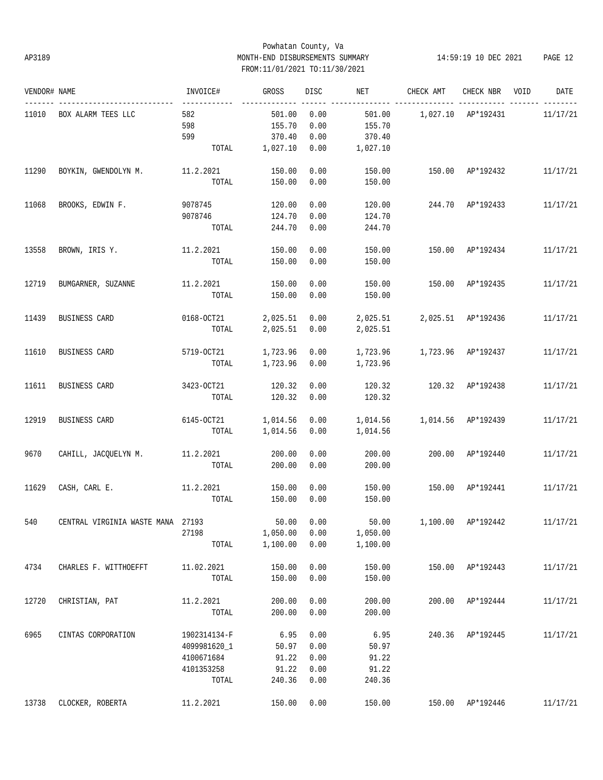# Powhatan County, Va AP3189 MONTH-END DISBURSEMENTS SUMMARY 14:59:19 10 DEC 2021 PAGE 12 FROM:11/01/2021 TO:11/30/2021

| VENDOR# NAME |                                                  | INVOICE#                       | GROSS          | DISC | NET                           | CHECK AMT                               | CHECK NBR VOID   | DATE     |
|--------------|--------------------------------------------------|--------------------------------|----------------|------|-------------------------------|-----------------------------------------|------------------|----------|
|              | 11010 BOX ALARM TEES LLC                         | -------------<br>582           | 501.00         | 0.00 | 501.00                        | 1,027.10 AP*192431                      |                  | 11/17/21 |
|              |                                                  | 598                            | 155.70         | 0.00 | 155.70                        |                                         |                  |          |
|              |                                                  | 599                            | 370.40         | 0.00 | 370.40                        |                                         |                  |          |
|              |                                                  |                                | TOTAL 1,027.10 | 0.00 | 1,027.10                      |                                         |                  |          |
| 11290        | BOYKIN, GWENDOLYN M. 11.2.2021                   |                                | 150.00         | 0.00 | 150.00                        | 150.00 AP*192432 11/17/21               |                  |          |
|              |                                                  | TOTAL                          | 150.00         | 0.00 | 150.00                        |                                         |                  |          |
| 11068        | BROOKS, EDWIN F.                                 | 9078745                        | 120.00         | 0.00 | 120.00                        | 244.70 AP*192433                        |                  | 11/17/21 |
|              |                                                  | 9078746                        | 124.70         | 0.00 | 124.70                        |                                         |                  |          |
|              |                                                  | TOTAL                          | 244.70         | 0.00 | 244.70                        |                                         |                  |          |
| 13558        | BROWN, IRIS Y.                                   | 11.2.2021                      | 150.00         | 0.00 | 150.00                        |                                         | 150.00 AP*192434 | 11/17/21 |
|              |                                                  | TOTAL                          | 150.00         | 0.00 | 150.00                        |                                         |                  |          |
| 12719        | BUMGARNER, SUZANNE                               | 11.2.2021                      | 150.00         | 0.00 | 150.00                        | 150.00 AP*192435                        |                  | 11/17/21 |
|              |                                                  | TOTAL                          | 150.00         | 0.00 | 150.00                        |                                         |                  |          |
| 11439        | BUSINESS CARD                                    | $0168 - 0C T 21$ 2,025.51 0.00 |                |      | 2,025.51  2,025.51  AP*192436 |                                         |                  | 11/17/21 |
|              |                                                  | TOTAL                          | 2,025.51 0.00  |      | 2,025.51                      |                                         |                  |          |
| 11610        | BUSINESS CARD                                    | 5719-OCT21                     | 1,723.96 0.00  |      |                               |                                         |                  | 11/17/21 |
|              |                                                  | TOTAL                          | 1,723.96 0.00  |      | 1,723.96                      |                                         |                  |          |
| 11611        | BUSINESS CARD                                    | 3423-OCT21                     | 120.32         | 0.00 | 120.32                        | 120.32 AP*192438                        |                  | 11/17/21 |
|              |                                                  | TOTAL                          | 120.32         | 0.00 | 120.32                        |                                         |                  |          |
| 12919        | BUSINESS CARD                                    | 6145-OCT21 1,014.56 0.00       |                |      | 1,014.56                      | 1,014.56 AP*192439                      |                  | 11/17/21 |
|              |                                                  |                                | TOTAL 1,014.56 | 0.00 | 1,014.56                      |                                         |                  |          |
| 9670         | CAHILL, JACQUELYN M.                             | 11.2.2021                      | 200.00         | 0.00 | 200.00                        |                                         | 200.00 AP*192440 | 11/17/21 |
|              |                                                  | TOTAL                          | 200.00         | 0.00 | 200.00                        |                                         |                  |          |
| 11629        | CASH, CARL E.                                    | 11.2.2021                      | 150.00         | 0.00 | 150.00                        | 150.00 AP*192441                        |                  | 11/17/21 |
|              |                                                  | TOTAL                          | 150.00         | 0.00 | 150.00                        |                                         |                  |          |
|              | 540 CENTRAL VIRGINIA WASTE MANA 27193 50.00 0.00 |                                |                |      |                               | 50.00   1,100.00   AP*192442   11/17/21 |                  |          |
|              |                                                  | 27198                          | 1,050.00       | 0.00 | 1,050.00                      |                                         |                  |          |
|              |                                                  | TOTAL                          | 1,100.00       | 0.00 | 1,100.00                      |                                         |                  |          |
| 4734         | CHARLES F. WITTHOEFFT                            | 11.02.2021                     | 150.00         | 0.00 | 150.00                        |                                         | 150.00 AP*192443 | 11/17/21 |
|              |                                                  | TOTAL                          | 150.00         | 0.00 | 150.00                        |                                         |                  |          |
| 12720        | CHRISTIAN, PAT                                   | 11.2.2021                      | 200.00         | 0.00 | 200.00                        |                                         | 200.00 AP*192444 | 11/17/21 |
|              |                                                  | TOTAL                          | 200.00         | 0.00 | 200.00                        |                                         |                  |          |
| 6965         | CINTAS CORPORATION                               | 1902314134-F                   | 6.95           | 0.00 | 6.95                          |                                         | 240.36 AP*192445 | 11/17/21 |
|              |                                                  | 4099981620 1                   | 50.97          | 0.00 | 50.97                         |                                         |                  |          |
|              |                                                  | 4100671684                     | 91.22          | 0.00 | 91.22                         |                                         |                  |          |
|              |                                                  | 4101353258                     | 91.22          | 0.00 | 91.22                         |                                         |                  |          |
|              |                                                  | TOTAL                          | 240.36         | 0.00 | 240.36                        |                                         |                  |          |
| 13738        | CLOCKER, ROBERTA                                 | 11.2.2021                      | 150.00         | 0.00 | 150.00                        |                                         | 150.00 AP*192446 | 11/17/21 |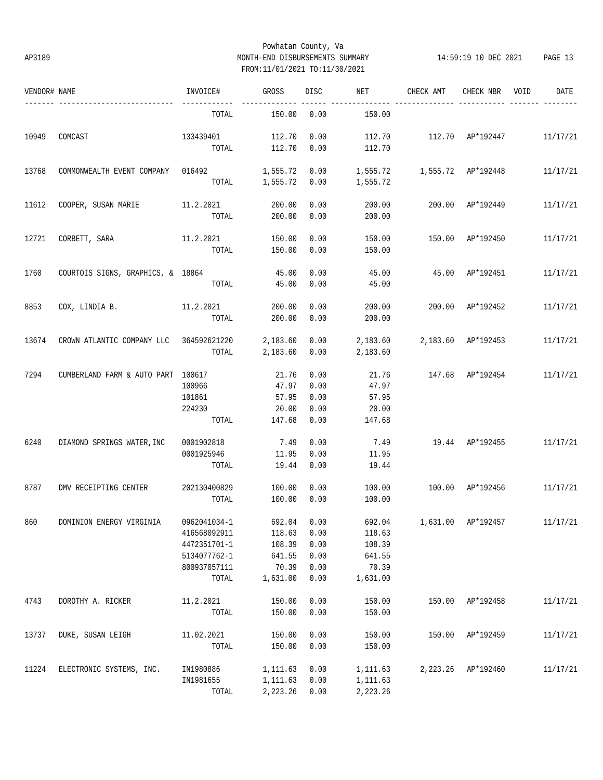# Powhatan County, Va AP3189 MONTH-END DISBURSEMENTS SUMMARY 14:59:19 10 DEC 2021 PAGE 13 FROM:11/01/2021 TO:11/30/2021

| VENDOR# NAME |                                         | INVOICE#           | GROSS            | <b>DISC</b>  | NET              | CHECK AMT                          | CHECK NBR        | VOID | DATE     |
|--------------|-----------------------------------------|--------------------|------------------|--------------|------------------|------------------------------------|------------------|------|----------|
|              | -----------------------                 | TOTAL              | 150.00           | 0.00         | 150.00           |                                    |                  |      |          |
| 10949        | COMCAST                                 | 133439401<br>TOTAL | 112.70<br>112.70 | 0.00<br>0.00 | 112.70<br>112.70 | 112.70 AP*192447 11/17/21          |                  |      |          |
| 13768        | COMMONWEALTH EVENT COMPANY 016492       |                    | 1,555.72         | 0.00         |                  |                                    |                  |      | 11/17/21 |
|              |                                         |                    | TOTAL 1,555.72   | 0.00         | 1,555.72         |                                    |                  |      |          |
| 11612        | COOPER, SUSAN MARIE                     | 11.2.2021          | 200.00           | 0.00         | 200.00           |                                    | 200.00 AP*192449 |      | 11/17/21 |
|              |                                         | TOTAL              | 200.00           | 0.00         | 200.00           |                                    |                  |      |          |
| 12721        | CORBETT, SARA                           | 11.2.2021          | 150.00           | 0.00         | 150.00           | 150.00                             | AP*192450        |      | 11/17/21 |
|              |                                         | TOTAL              | 150.00           | 0.00         | 150.00           |                                    |                  |      |          |
| 1760         | COURTOIS SIGNS, GRAPHICS, & 18864       |                    | 45.00            | 0.00         | 45.00            | 45.00 AP*192451                    |                  |      | 11/17/21 |
|              |                                         | TOTAL              | 45.00            | 0.00         | 45.00            |                                    |                  |      |          |
| 8853         | COX, LINDIA B.                          | 11.2.2021          | 200.00           | 0.00         | 200.00           |                                    | 200.00 AP*192452 |      | 11/17/21 |
|              |                                         | TOTAL              | 200.00           | 0.00         | 200.00           |                                    |                  |      |          |
| 13674        | CROWN ATLANTIC COMPANY LLC 364592621220 |                    | 2,183.60         | 0.00         | 2,183.60         | 2,183.60 AP*192453                 |                  |      | 11/17/21 |
|              |                                         | TOTAL              | 2,183.60         | 0.00         | 2,183.60         |                                    |                  |      |          |
| 7294         | CUMBERLAND FARM & AUTO PART 100617      |                    | 21.76            | 0.00         | 21.76            | 147.68 AP*192454                   |                  |      | 11/17/21 |
|              |                                         | 100966             | 47.97            | 0.00         | 47.97            |                                    |                  |      |          |
|              |                                         | 101861             | 57.95            | 0.00         | 57.95            |                                    |                  |      |          |
|              |                                         | 224230<br>TOTAL    | 20.00<br>147.68  | 0.00<br>0.00 | 20.00<br>147.68  |                                    |                  |      |          |
|              |                                         |                    |                  |              |                  |                                    |                  |      |          |
| 6240         | DIAMOND SPRINGS WATER, INC              | 0001902818         | 7.49             | 0.00         | 7.49             | 19.44 AP*192455                    |                  |      | 11/17/21 |
|              |                                         | 0001925946         | 11.95            | 0.00         | 11.95            |                                    |                  |      |          |
|              |                                         | TOTAL              | 19.44            | 0.00         | 19.44            |                                    |                  |      |          |
| 8787         | DMV RECEIPTING CENTER                   | 202130400829       | 100.00           | 0.00         | 100.00           | 100.00 AP*192456                   |                  |      | 11/17/21 |
|              |                                         | TOTAL              | 100.00           | 0.00         | 100.00           |                                    |                  |      |          |
| 860          | DOMINION ENERGY VIRGINIA 0962041034-1   |                    | 692.04 0.00      |              |                  | 692.04 1,631.00 AP*192457 11/17/21 |                  |      |          |
|              |                                         | 416568092911       | 118.63           | 0.00         | 118.63           |                                    |                  |      |          |
|              |                                         | 4472351701-1       | 108.39           | 0.00         | 108.39           |                                    |                  |      |          |
|              |                                         | 5134077762-1       | 641.55           | 0.00         | 641.55           |                                    |                  |      |          |
|              |                                         | 800937057111       | 70.39            | 0.00         | 70.39            |                                    |                  |      |          |
|              |                                         | TOTAL              | 1,631.00         | 0.00         | 1,631.00         |                                    |                  |      |          |
| 4743         | DOROTHY A. RICKER                       | 11.2.2021          | 150.00           | 0.00         | 150.00           | 150.00                             | AP*192458        |      | 11/17/21 |
|              |                                         | TOTAL              | 150.00           | 0.00         | 150.00           |                                    |                  |      |          |
| 13737        | DUKE, SUSAN LEIGH                       | 11.02.2021         | 150.00           | 0.00         | 150.00           | 150.00                             | AP*192459        |      | 11/17/21 |
|              |                                         | TOTAL              | 150.00           | 0.00         | 150.00           |                                    |                  |      |          |
| 11224        | ELECTRONIC SYSTEMS, INC.                | IN1980886          | 1,111.63         | 0.00         | 1,111.63         | 2,223.26                           | AP*192460        |      | 11/17/21 |
|              |                                         | IN1981655          | 1,111.63         | 0.00         | 1,111.63         |                                    |                  |      |          |
|              |                                         | TOTAL              | 2,223.26         | 0.00         | 2,223.26         |                                    |                  |      |          |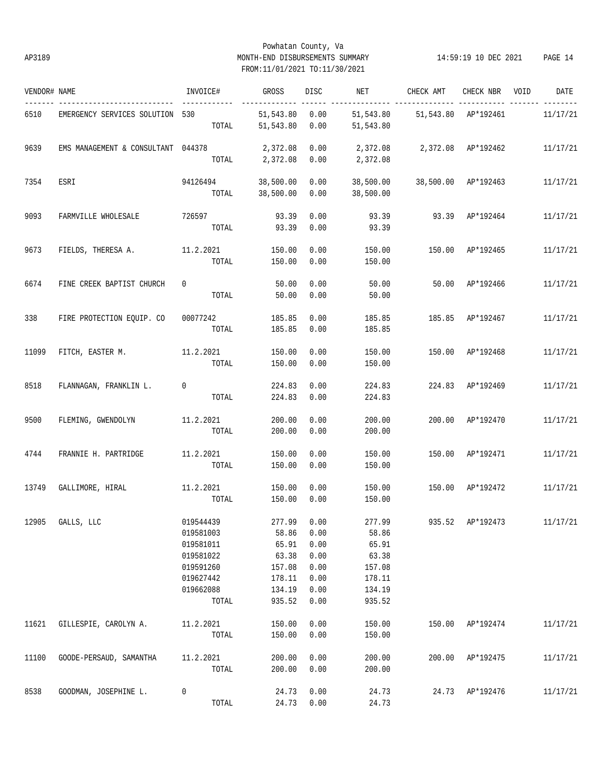# Powhatan County, Va AP3189 MONTH-END DISBURSEMENTS SUMMARY 14:59:19 10 DEC 2021 PAGE 14 FROM:11/01/2021 TO:11/30/2021

| VENDOR# NAME |                                    | INVOICE#    | GROSS                  | DISC         | NET                    | CHECK AMT           | CHECK NBR VOID   | DATE     |
|--------------|------------------------------------|-------------|------------------------|--------------|------------------------|---------------------|------------------|----------|
| 6510         | EMERGENCY SERVICES SOLUTION 530    | TOTAL       | 51,543.80<br>51,543.80 | 0.00<br>0.00 | 51,543.80<br>51,543.80 | 51,543.80 AP*192461 | ----- -------    | 11/17/21 |
| 9639         | EMS MANAGEMENT & CONSULTANT 044378 |             | 2,372.08               | 0.00         | 2,372.08               | 2,372.08 AP*192462  |                  | 11/17/21 |
|              |                                    | TOTAL       | 2,372.08               | 0.00         | 2,372.08               |                     |                  |          |
| 7354         | ESRI                               | 94126494    | 38,500.00              | 0.00         | 38,500.00              | 38,500.00 AP*192463 |                  | 11/17/21 |
|              |                                    | TOTAL       | 38,500.00              | 0.00         | 38,500.00              |                     |                  |          |
| 9093         | FARMVILLE WHOLESALE                | 726597      | 93.39                  | 0.00         | 93.39                  |                     | 93.39 AP*192464  | 11/17/21 |
|              |                                    | TOTAL       | 93.39                  | 0.00         | 93.39                  |                     |                  |          |
| 9673         | FIELDS, THERESA A.                 | 11.2.2021   | 150.00                 | 0.00         | 150.00                 | 150.00              | AP*192465        | 11/17/21 |
|              |                                    | TOTAL       | 150.00                 | 0.00         | 150.00                 |                     |                  |          |
| 6674         | FINE CREEK BAPTIST CHURCH          | $\mathbf 0$ | 50.00                  | 0.00         | 50.00                  | 50.00               | AP*192466        | 11/17/21 |
|              |                                    | TOTAL       | 50.00                  | 0.00         | 50.00                  |                     |                  |          |
| 338          | FIRE PROTECTION EOUIP. CO          | 00077242    | 185.85                 | 0.00         | 185.85                 |                     | 185.85 AP*192467 | 11/17/21 |
|              |                                    | TOTAL       | 185.85                 | 0.00         | 185.85                 |                     |                  |          |
| 11099        | FITCH, EASTER M.                   | 11.2.2021   | 150.00                 | 0.00         | 150.00                 |                     | 150.00 AP*192468 | 11/17/21 |
|              |                                    | TOTAL       | 150.00                 | 0.00         | 150.00                 |                     |                  |          |
| 8518         | FLANNAGAN, FRANKLIN L.             | 0           | 224.83                 | 0.00         | 224.83                 |                     | 224.83 AP*192469 | 11/17/21 |
|              |                                    | TOTAL       | 224.83                 | 0.00         | 224.83                 |                     |                  |          |
| 9500         | FLEMING, GWENDOLYN                 | 11.2.2021   | 200.00                 | 0.00         | 200.00                 |                     | 200.00 AP*192470 | 11/17/21 |
|              |                                    | TOTAL       | 200.00                 | 0.00         | 200.00                 |                     |                  |          |
| 4744         | FRANNIE H. PARTRIDGE               | 11.2.2021   | 150.00                 | 0.00         | 150.00                 |                     | 150.00 AP*192471 | 11/17/21 |
|              |                                    | TOTAL       | 150.00                 | 0.00         | 150.00                 |                     |                  |          |
| 13749        | GALLIMORE, HIRAL 11.2.2021         |             | 150.00                 | 0.00         | 150.00                 | 150.00 AP*192472    |                  | 11/17/21 |
|              |                                    | TOTAL       | 150.00                 | 0.00         | 150.00                 |                     |                  |          |
|              | 12905 GALLS, LLC                   | 019544439   |                        | 277.99 0.00  | 277.99                 |                     | 935.52 AP*192473 | 11/17/21 |
|              |                                    | 019581003   | 58.86                  | 0.00         | 58.86                  |                     |                  |          |
|              |                                    | 019581011   | 65.91                  | 0.00         | 65.91                  |                     |                  |          |
|              |                                    | 019581022   | 63.38                  | 0.00         | 63.38                  |                     |                  |          |
|              |                                    | 019591260   | 157.08                 | 0.00         | 157.08                 |                     |                  |          |
|              |                                    | 019627442   | 178.11                 | 0.00         | 178.11                 |                     |                  |          |
|              |                                    | 019662088   | 134.19                 | 0.00         | 134.19                 |                     |                  |          |
|              |                                    | TOTAL       | 935.52                 | 0.00         | 935.52                 |                     |                  |          |
| 11621        | GILLESPIE, CAROLYN A.              | 11.2.2021   | 150.00                 | 0.00         | 150.00                 |                     | 150.00 AP*192474 | 11/17/21 |
|              |                                    | TOTAL       | 150.00                 | 0.00         | 150.00                 |                     |                  |          |
| 11100        | GOODE-PERSAUD, SAMANTHA            | 11.2.2021   | 200.00                 | 0.00         | 200.00                 | 200.00              | AP*192475        | 11/17/21 |
|              |                                    | TOTAL       | 200.00                 | 0.00         | 200.00                 |                     |                  |          |
| 8538         | GOODMAN, JOSEPHINE L.              | 0           | 24.73                  | 0.00         | 24.73                  |                     | 24.73 AP*192476  | 11/17/21 |
|              |                                    | TOTAL       | 24.73                  | 0.00         | 24.73                  |                     |                  |          |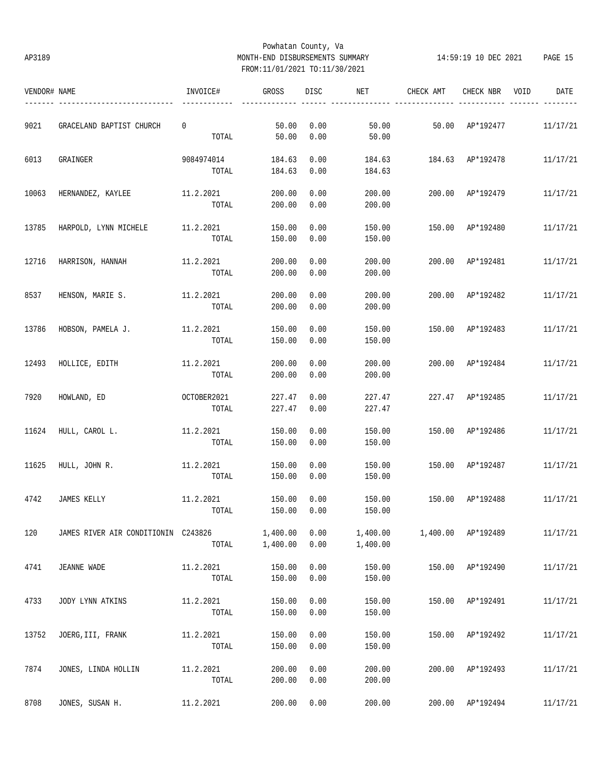# Powhatan County, Va AP3189 MONTH-END DISBURSEMENTS SUMMARY 14:59:19 10 DEC 2021 PAGE 15 FROM:11/01/2021 TO:11/30/2021

| VENDOR# NAME |                                     | INVOICE#             | GROSS            | DISC         | NET              | CHECK AMT        | CHECK NBR          | DATE<br>VOID |
|--------------|-------------------------------------|----------------------|------------------|--------------|------------------|------------------|--------------------|--------------|
| 9021         | GRACELAND BAPTIST CHURCH            | 0                    | 50.00            | 0.00         | 50.00            |                  | 50.00 AP*192477    | 11/17/21     |
|              |                                     | TOTAL                | 50.00            | 0.00         | 50.00            |                  |                    |              |
| 6013         | GRAINGER                            | 9084974014           | 184.63           | 0.00         | 184.63           | 184.63 AP*192478 |                    | 11/17/21     |
|              |                                     | TOTAL                | 184.63           | 0.00         | 184.63           |                  |                    |              |
| 10063        | HERNANDEZ, KAYLEE                   | 11.2.2021            | 200.00           | 0.00         | 200.00           |                  | 200.00 AP*192479   | 11/17/21     |
|              |                                     | TOTAL                | 200.00           | 0.00         | 200.00           |                  |                    |              |
| 13785        | HARPOLD, LYNN MICHELE               | 11.2.2021            | 150.00           | 0.00         | 150.00           |                  | 150.00 AP*192480   | 11/17/21     |
|              |                                     | TOTAL                | 150.00           | 0.00         | 150.00           |                  |                    |              |
| 12716        | HARRISON, HANNAH                    | 11.2.2021            | 200.00           | 0.00         | 200.00           | 200.00           | AP*192481          | 11/17/21     |
|              |                                     | TOTAL                | 200.00           | 0.00         | 200.00           |                  |                    |              |
| 8537         | HENSON, MARIE S.                    | 11.2.2021            | 200.00           | 0.00         | 200.00           | 200.00           | AP*192482          | 11/17/21     |
|              |                                     | TOTAL                | 200.00           | 0.00         | 200.00           |                  |                    |              |
| 13786        | HOBSON, PAMELA J.                   | 11.2.2021            | 150.00           | 0.00         | 150.00           |                  | 150.00 AP*192483   | 11/17/21     |
|              |                                     | TOTAL                | 150.00           | 0.00         | 150.00           |                  |                    |              |
|              |                                     |                      |                  |              |                  |                  |                    |              |
| 12493        | HOLLICE, EDITH                      | 11.2.2021<br>TOTAL   | 200.00<br>200.00 | 0.00<br>0.00 | 200.00<br>200.00 |                  | 200.00 AP*192484   | 11/17/21     |
|              |                                     |                      |                  |              |                  |                  |                    |              |
| 7920         | HOWLAND, ED                         | OCTOBER2021<br>TOTAL | 227.47<br>227.47 | 0.00<br>0.00 | 227.47<br>227.47 |                  | 227.47 AP*192485   | 11/17/21     |
|              |                                     |                      |                  |              |                  |                  |                    |              |
| 11624        | HULL, CAROL L.                      | 11.2.2021<br>TOTAL   | 150.00<br>150.00 | 0.00<br>0.00 | 150.00<br>150.00 |                  | 150.00 AP*192486   | 11/17/21     |
|              |                                     |                      |                  |              |                  |                  |                    |              |
| 11625        | HULL, JOHN R.                       | 11.2.2021<br>TOTAL   | 150.00<br>150.00 | 0.00<br>0.00 | 150.00<br>150.00 |                  | 150.00 AP*192487   | 11/17/21     |
|              |                                     |                      |                  |              |                  |                  |                    |              |
| 4742         | JAMES KELLY                         | 11.2.2021            | 150.00           | 0.00         | 150.00           | 150.00 AP*192488 |                    | 11/17/21     |
|              |                                     | TOTAL                | 150.00           | 0.00         | 150.00           |                  |                    |              |
| 120          | JAMES RIVER AIR CONDITIONIN C243826 |                      | 1,400.00         | 0.00         | 1,400.00         |                  | 1,400.00 AP*192489 | 11/17/21     |
|              |                                     | TOTAL                | 1,400.00         | 0.00         | 1,400.00         |                  |                    |              |
| 4741         | JEANNE WADE                         | 11.2.2021            | 150.00           | 0.00         | 150.00           | 150.00           | AP*192490          | 11/17/21     |
|              |                                     | TOTAL                | 150.00           | 0.00         | 150.00           |                  |                    |              |
| 4733         | JODY LYNN ATKINS                    | 11.2.2021            | 150.00           | 0.00         | 150.00           | 150.00           | AP*192491          | 11/17/21     |
|              |                                     | TOTAL                | 150.00           | 0.00         | 150.00           |                  |                    |              |
| 13752        | JOERG, III, FRANK                   | 11.2.2021            | 150.00           | 0.00         | 150.00           | 150.00           | AP*192492          | 11/17/21     |
|              |                                     | TOTAL                | 150.00           | 0.00         | 150.00           |                  |                    |              |
| 7874         | JONES, LINDA HOLLIN                 | 11.2.2021            | 200.00           | 0.00         | 200.00           | 200.00           | AP*192493          | 11/17/21     |
|              |                                     | TOTAL                | 200.00           | 0.00         | 200.00           |                  |                    |              |
| 8708         | JONES, SUSAN H.                     | 11.2.2021            | 200.00           | 0.00         | 200.00           |                  | 200.00 AP*192494   | 11/17/21     |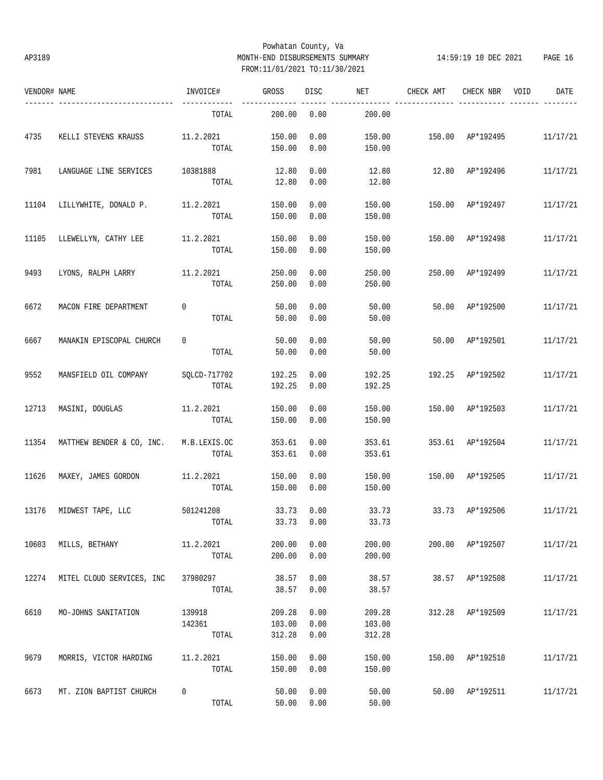# Powhatan County, Va AP3189 MONTH-END DISBURSEMENTS SUMMARY 14:59:19 10 DEC 2021 PAGE 16 FROM:11/01/2021 TO:11/30/2021

| VENDOR# NAME |                                        | INVOICE#     | GROSS        | DISC | NET    | CHECK AMT        | CHECK NBR        | VOID | DATE     |
|--------------|----------------------------------------|--------------|--------------|------|--------|------------------|------------------|------|----------|
|              | -----------------------                | TOTAL        | 200.00       | 0.00 | 200.00 |                  |                  |      |          |
| 4735         | KELLI STEVENS KRAUSS                   | 11.2.2021    | 150.00       | 0.00 | 150.00 | 150.00 AP*192495 |                  |      | 11/17/21 |
|              |                                        | TOTAL        | 150.00       | 0.00 | 150.00 |                  |                  |      |          |
| 7981         | LANGUAGE LINE SERVICES                 | 10381888     | 12.80        | 0.00 | 12.80  |                  | 12.80 AP*192496  |      | 11/17/21 |
|              |                                        | TOTAL        | 12.80        | 0.00 | 12.80  |                  |                  |      |          |
| 11104        | LILLYWHITE, DONALD P.                  | 11.2.2021    | 150.00       | 0.00 | 150.00 | 150.00           | AP*192497        |      | 11/17/21 |
|              |                                        | TOTAL        | 150.00       | 0.00 | 150.00 |                  |                  |      |          |
| 11105        | LLEWELLYN, CATHY LEE                   | 11.2.2021    | 150.00       | 0.00 | 150.00 | 150.00           | AP*192498        |      | 11/17/21 |
|              |                                        | TOTAL        | 150.00       | 0.00 | 150.00 |                  |                  |      |          |
| 9493         | LYONS, RALPH LARRY                     | 11.2.2021    | 250.00       | 0.00 | 250.00 | 250.00           | AP*192499        |      | 11/17/21 |
|              |                                        | TOTAL        | 250.00       | 0.00 | 250.00 |                  |                  |      |          |
| 6672         | MACON FIRE DEPARTMENT                  | $\mathbf 0$  | 50.00        | 0.00 | 50.00  | 50.00            | AP*192500        |      | 11/17/21 |
|              |                                        | TOTAL        | 50.00        | 0.00 | 50.00  |                  |                  |      |          |
| 6667         | MANAKIN EPISCOPAL CHURCH               | 0            | 50.00        | 0.00 | 50.00  | 50.00            | AP*192501        |      | 11/17/21 |
|              |                                        | TOTAL        | 50.00        | 0.00 | 50.00  |                  |                  |      |          |
| 9552         | MANSFIELD OIL COMPANY                  | SQLCD-717702 | 192.25       | 0.00 | 192.25 |                  | 192.25 AP*192502 |      | 11/17/21 |
|              |                                        | TOTAL        | 192.25       | 0.00 | 192.25 |                  |                  |      |          |
| 12713        | MASINI, DOUGLAS                        | 11.2.2021    | 150.00       | 0.00 | 150.00 |                  | 150.00 AP*192503 |      | 11/17/21 |
|              |                                        | TOTAL        | 150.00       | 0.00 | 150.00 |                  |                  |      |          |
| 11354        | MATTHEW BENDER & CO, INC. M.B.LEXIS.OC |              | 353.61       | 0.00 | 353.61 |                  | 353.61 AP*192504 |      | 11/17/21 |
|              |                                        | TOTAL        | 353.61       | 0.00 | 353.61 |                  |                  |      |          |
| 11626        | MAXEY, JAMES GORDON                    | 11.2.2021    | 150.00       | 0.00 | 150.00 | 150.00           | AP*192505        |      | 11/17/21 |
|              |                                        | TOTAL        | 150.00       | 0.00 | 150.00 |                  |                  |      |          |
| 13176        | MIDWEST TAPE, LLC                      | 501241208    | 33.73        | 0.00 | 33.73  | 33.73            | AP*192506        |      | 11/17/21 |
|              |                                        | TOTAL        | $33.73$ 0.00 |      | 33.73  |                  |                  |      |          |
| 10603        | MILLS, BETHANY                         | 11.2.2021    | 200.00       | 0.00 | 200.00 |                  | 200.00 AP*192507 |      | 11/17/21 |
|              |                                        | TOTAL        | 200.00       | 0.00 | 200.00 |                  |                  |      |          |
| 12274        | MITEL CLOUD SERVICES, INC              | 37980297     | 38.57        | 0.00 | 38.57  | 38.57            | AP*192508        |      | 11/17/21 |
|              |                                        | TOTAL        | 38.57        | 0.00 | 38.57  |                  |                  |      |          |
| 6610         | MO-JOHNS SANITATION                    | 139918       | 209.28       | 0.00 | 209.28 |                  | 312.28 AP*192509 |      | 11/17/21 |
|              |                                        | 142361       | 103.00       | 0.00 | 103.00 |                  |                  |      |          |
|              |                                        | TOTAL        | 312.28       | 0.00 | 312.28 |                  |                  |      |          |
| 9679         | MORRIS, VICTOR HARDING                 | 11.2.2021    | 150.00       | 0.00 | 150.00 | 150.00           | AP*192510        |      | 11/17/21 |
|              |                                        | TOTAL        | 150.00       | 0.00 | 150.00 |                  |                  |      |          |
| 6673         | MT. ZION BAPTIST CHURCH                | 0            | 50.00        | 0.00 | 50.00  |                  | 50.00 AP*192511  |      | 11/17/21 |
|              |                                        | TOTAL        | 50.00        | 0.00 | 50.00  |                  |                  |      |          |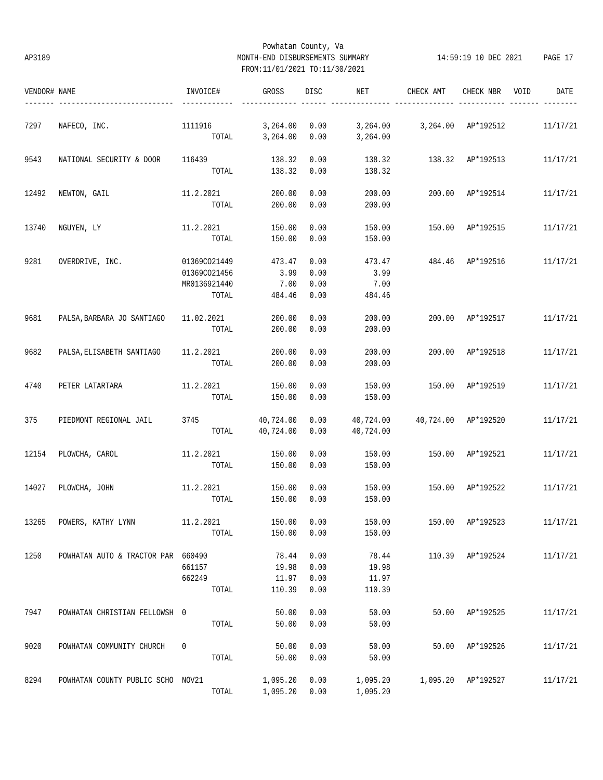# Powhatan County, Va AP3189 MONTH-END DISBURSEMENTS SUMMARY 14:59:19 10 DEC 2021 PAGE 17 FROM:11/01/2021 TO:11/30/2021

| VENDOR# NAME |                                       | INVOICE#       | GROSS                | DISC        | NET                         | CHECK AMT           | CHECK NBR                 | VOID | DATE     |
|--------------|---------------------------------------|----------------|----------------------|-------------|-----------------------------|---------------------|---------------------------|------|----------|
| 7297         | NAFECO, INC.                          | 1111916        | 3,264.00             | 0.00        | 3,264.00 3,264.00 AP*192512 |                     |                           |      | 11/17/21 |
|              |                                       |                | TOTAL 3, 264.00 0.00 |             | 3,264.00                    |                     |                           |      |          |
| 9543         | NATIONAL SECURITY & DOOR              | 116439         | 138.32               | 0.00        | 138.32                      | 138.32 AP*192513    |                           |      | 11/17/21 |
|              |                                       |                | TOTAL 138.32         | 0.00        | 138.32                      |                     |                           |      |          |
| 12492        | NEWTON, GAIL                          | 11.2.2021      | 200.00               | 0.00        | 200.00                      |                     | 200.00 AP*192514          |      | 11/17/21 |
|              |                                       | TOTAL          | 200.00               | 0.00        | 200.00                      |                     |                           |      |          |
| 13740        | NGUYEN, LY                            | 11.2.2021      | 150.00               | 0.00        | 150.00                      |                     | 150.00 AP*192515          |      | 11/17/21 |
|              |                                       | TOTAL          | 150.00               | 0.00        | 150.00                      |                     |                           |      |          |
| 9281         | OVERDRIVE, INC.                       | 01369CO21449   | 473.47               | 0.00        | 473.47                      | 484.46              | AP*192516                 |      | 11/17/21 |
|              |                                       | 01369CO21456   | 3.99                 | 0.00        | 3.99                        |                     |                           |      |          |
|              |                                       | MR0136921440   | 7.00                 | 0.00        | 7.00                        |                     |                           |      |          |
|              |                                       | TOTAL          | 484.46               | 0.00        | 484.46                      |                     |                           |      |          |
| 9681         | PALSA, BARBARA JO SANTIAGO 11.02.2021 |                | 200.00               | 0.00        | 200.00                      | 200.00              | AP*192517                 |      | 11/17/21 |
|              |                                       | TOTAL          | 200.00               | 0.00        | 200.00                      |                     |                           |      |          |
| 9682         | PALSA, ELISABETH SANTIAGO             | 11.2.2021      | 200.00               | 0.00        | 200.00                      |                     | 200.00 AP*192518          |      | 11/17/21 |
|              |                                       | TOTAL          | 200.00               | 0.00        | 200.00                      |                     |                           |      |          |
| 4740         | PETER LATARTARA                       | 11.2.2021      | 150.00               | 0.00        | 150.00                      |                     | 150.00 AP*192519          |      | 11/17/21 |
|              |                                       | TOTAL          | 150.00               | 0.00        | 150.00                      |                     |                           |      |          |
| 375          | PIEDMONT REGIONAL JAIL                | 3745 40,724.00 |                      | 0.00        | 40,724.00                   | 40,724.00 AP*192520 |                           |      | 11/17/21 |
|              |                                       |                | TOTAL 40,724.00      | 0.00        | 40,724.00                   |                     |                           |      |          |
| 12154        | PLOWCHA, CAROL                        | 11.2.2021      | 150.00               | 0.00        | 150.00                      |                     | 150.00 AP*192521          |      | 11/17/21 |
|              |                                       | TOTAL          | 150.00               | 0.00        | 150.00                      |                     |                           |      |          |
| 14027        | PLOWCHA, JOHN                         | 11.2.2021      | 150.00               | 0.00        | 150.00                      | 150.00 AP*192522    |                           |      | 11/17/21 |
|              |                                       | TOTAL          | 150.00               | 0.00        | 150.00                      |                     |                           |      |          |
| 13265        | POWERS, KATHY LYNN                    | 11.2.2021      |                      | 150.00 0.00 | 150.00                      |                     | 150.00 AP*192523 11/17/21 |      |          |
|              |                                       | TOTAL          | 150.00               | 0.00        | 150.00                      |                     |                           |      |          |
| 1250         | POWHATAN AUTO & TRACTOR PAR 660490    |                | 78.44                | 0.00        | 78.44                       |                     | 110.39 AP*192524          |      | 11/17/21 |
|              |                                       | 661157         | 19.98                | 0.00        | 19.98                       |                     |                           |      |          |
|              |                                       | 662249         | 11.97                | 0.00        | 11.97                       |                     |                           |      |          |
|              |                                       | TOTAL          | 110.39               | 0.00        | 110.39                      |                     |                           |      |          |
| 7947         | POWHATAN CHRISTIAN FELLOWSH 0         |                | 50.00                | 0.00        | 50.00                       |                     | 50.00 AP*192525           |      | 11/17/21 |
|              |                                       | TOTAL          | 50.00                | 0.00        | 50.00                       |                     |                           |      |          |
| 9020         | POWHATAN COMMUNITY CHURCH             | 0              | 50.00                | 0.00        | 50.00                       |                     | 50.00 AP*192526           |      | 11/17/21 |
|              |                                       | TOTAL          | 50.00                | 0.00        | 50.00                       |                     |                           |      |          |
| 8294         | POWHATAN COUNTY PUBLIC SCHO NOV21     |                | 1,095.20             | 0.00        | 1,095.20                    |                     | 1,095.20 AP*192527        |      | 11/17/21 |
|              |                                       | TOTAL          | 1,095.20             | 0.00        | 1,095.20                    |                     |                           |      |          |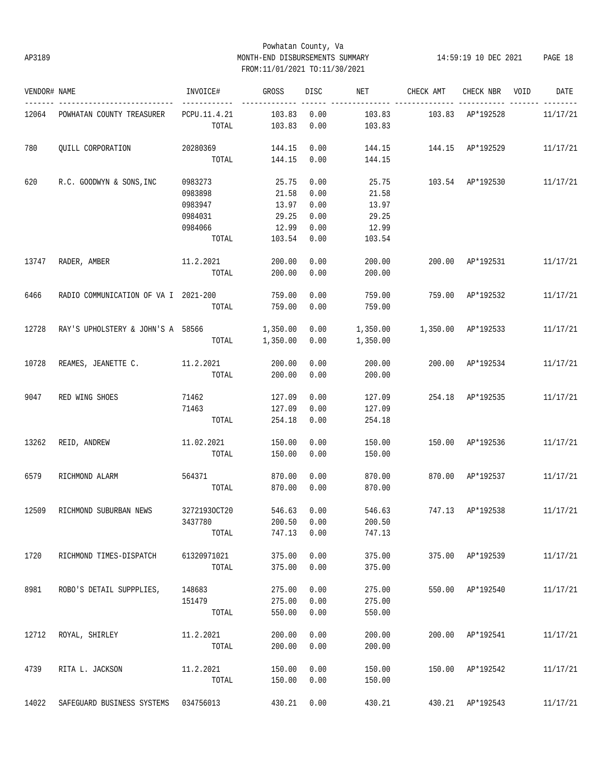# Powhatan County, Va AP3189 MONTH-END DISBURSEMENTS SUMMARY 14:59:19 10 DEC 2021 PAGE 18 FROM:11/01/2021 TO:11/30/2021

| VENDOR# NAME |                                      | INVOICE#                              | GROSS            | DISC         | NET                             | CHECK AMT                              | CHECK NBR VOID   | DATE     |
|--------------|--------------------------------------|---------------------------------------|------------------|--------------|---------------------------------|----------------------------------------|------------------|----------|
|              | 12064 POWHATAN COUNTY TREASURER      | ------------<br>PCPU.11.4.21<br>TOTAL | 103.83<br>103.83 | 0.00<br>0.00 | 103.83<br>103.83                | 103.83 AP*192528                       |                  | 11/17/21 |
| 780          | OUILL CORPORATION                    | 20280369<br>TOTAL                     | 144.15<br>144.15 | 0.00<br>0.00 | 144.15                          | 144.15   144.15   AP*192529   11/17/21 |                  |          |
|              |                                      |                                       |                  |              |                                 |                                        |                  |          |
| 620          | R.C. GOODWYN & SONS, INC             | 0983273                               | 25.75            | 0.00         | 25.75                           | 103.54 AP*192530                       |                  | 11/17/21 |
|              |                                      | 0983898                               | 21.58            | 0.00         | 21.58                           |                                        |                  |          |
|              |                                      | 0983947                               | 13.97            | 0.00         | 13.97                           |                                        |                  |          |
|              |                                      | 0984031                               | 29.25            | 0.00         | 29.25                           |                                        |                  |          |
|              |                                      | 0984066                               | 12.99            | 0.00         | 12.99                           |                                        |                  |          |
|              |                                      | TOTAL                                 | 103.54           | 0.00         | 103.54                          |                                        |                  |          |
| 13747        | RADER, AMBER                         | 11.2.2021                             | 200.00           | 0.00         | 200.00                          |                                        | 200.00 AP*192531 | 11/17/21 |
|              |                                      | TOTAL                                 | 200.00           | 0.00         | 200.00                          |                                        |                  |          |
| 6466         | RADIO COMMUNICATION OF VA I 2021-200 |                                       | 759.00           | 0.00         | 759.00                          | 759.00 AP*192532                       |                  | 11/17/21 |
|              |                                      | TOTAL                                 | 759.00           | 0.00         | 759.00                          |                                        |                  |          |
| 12728        | RAY'S UPHOLSTERY & JOHN'S A 58566    |                                       | 1,350.00         | 0.00         | 1,350.00   1,350.00   AP*192533 |                                        |                  | 11/17/21 |
|              |                                      | TOTAL                                 | 1,350.00         | 0.00         | 1,350.00                        |                                        |                  |          |
|              |                                      |                                       |                  |              |                                 |                                        |                  |          |
| 10728        | REAMES, JEANETTE C. 11.2.2021        |                                       | 200.00           | 0.00         | 200.00                          |                                        | 200.00 AP*192534 | 11/17/21 |
|              |                                      | TOTAL                                 | 200.00           | 0.00         | 200.00                          |                                        |                  |          |
| 9047         | RED WING SHOES                       | 71462                                 | 127.09           | 0.00         | 127.09                          | 254.18 AP*192535                       |                  | 11/17/21 |
|              |                                      | 71463                                 | 127.09           | 0.00         | 127.09                          |                                        |                  |          |
|              |                                      | TOTAL                                 | 254.18           | 0.00         | 254.18                          |                                        |                  |          |
| 13262        | REID, ANDREW                         | 11.02.2021                            | 150.00           | 0.00         | 150.00                          | 150.00 AP*192536                       |                  | 11/17/21 |
|              |                                      | TOTAL                                 | 150.00           | 0.00         | 150.00                          |                                        |                  |          |
| 6579         |                                      |                                       | 870.00           | 0.00         |                                 |                                        | 870.00 AP*192537 | 11/17/21 |
|              | RICHMOND ALARM                       | 564371<br>TOTAL                       | 870.00           | 0.00         | 870.00<br>870.00                |                                        |                  |          |
|              |                                      |                                       |                  |              |                                 |                                        |                  |          |
| 12509        | RICHMOND SUBURBAN NEWS               | 32721930CT20                          | 546.63           | 0.00         | 546.63                          | 747.13 AP*192538                       |                  | 11/17/21 |
|              |                                      | 3437780                               |                  | 200.50 0.00  | 200.50                          |                                        |                  |          |
|              |                                      | TOTAL                                 | 747.13           | 0.00         | 747.13                          |                                        |                  |          |
| 1720         | RICHMOND TIMES-DISPATCH              | 61320971021                           | 375.00           | 0.00         | 375.00                          |                                        | 375.00 AP*192539 | 11/17/21 |
|              |                                      | TOTAL                                 | 375.00           | 0.00         | 375.00                          |                                        |                  |          |
| 8981         | ROBO'S DETAIL SUPPPLIES,             | 148683                                | 275.00           | 0.00         | 275.00                          |                                        | 550.00 AP*192540 | 11/17/21 |
|              |                                      | 151479                                | 275.00           | 0.00         | 275.00                          |                                        |                  |          |
|              |                                      | TOTAL                                 | 550.00           | 0.00         | 550.00                          |                                        |                  |          |
|              |                                      |                                       |                  |              |                                 |                                        |                  |          |
| 12712        | ROYAL, SHIRLEY                       | 11.2.2021                             | 200.00           | 0.00         | 200.00                          |                                        | 200.00 AP*192541 | 11/17/21 |
|              |                                      | TOTAL                                 | 200.00           | 0.00         | 200.00                          |                                        |                  |          |
| 4739         | RITA L. JACKSON                      | 11.2.2021                             | 150.00           | 0.00         | 150.00                          |                                        | 150.00 AP*192542 | 11/17/21 |
|              |                                      | TOTAL                                 | 150.00           | 0.00         | 150.00                          |                                        |                  |          |
|              |                                      |                                       |                  |              |                                 |                                        |                  |          |
| 14022        | SAFEGUARD BUSINESS SYSTEMS 034756013 |                                       | 430.21           | 0.00         | 430.21                          |                                        | 430.21 AP*192543 | 11/17/21 |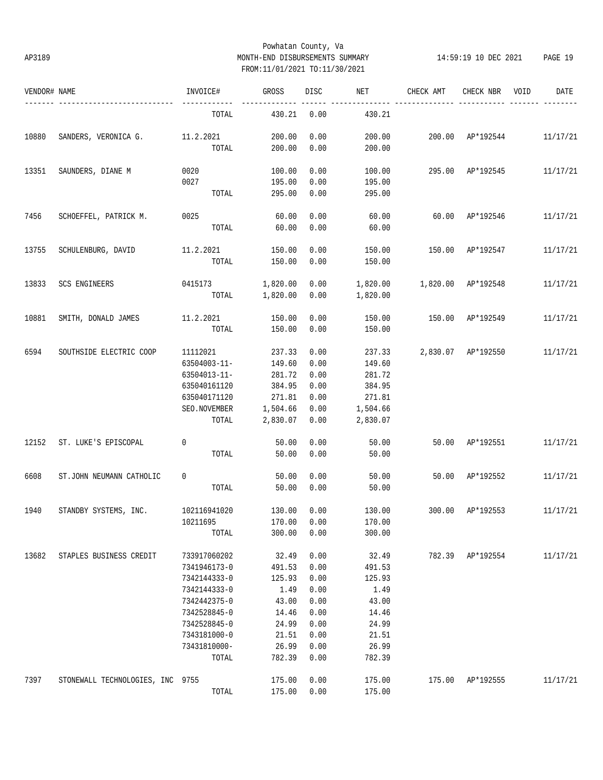# Powhatan County, Va AP3189 MONTH-END DISBURSEMENTS SUMMARY 14:59:19 10 DEC 2021 PAGE 19 FROM:11/01/2021 TO:11/30/2021

| VENDOR# NAME |                                  | INVOICE#     | GROSS    | DISC | NET      | CHECK AMT          | CHECK NBR          | VOID | DATE     |
|--------------|----------------------------------|--------------|----------|------|----------|--------------------|--------------------|------|----------|
|              |                                  | TOTAL        | 430.21   | 0.00 | 430.21   |                    |                    |      |          |
| 10880        | SANDERS, VERONICA G. 11.2.2021   |              | 200.00   | 0.00 | 200.00   |                    | 200.00 AP*192544   |      | 11/17/21 |
|              |                                  | TOTAL        | 200.00   | 0.00 | 200.00   |                    |                    |      |          |
| 13351        | SAUNDERS, DIANE M                | 0020         | 100.00   | 0.00 | 100.00   |                    | 295.00 AP*192545   |      | 11/17/21 |
|              |                                  | 0027         | 195.00   | 0.00 | 195.00   |                    |                    |      |          |
|              |                                  | TOTAL        | 295.00   | 0.00 | 295.00   |                    |                    |      |          |
| 7456         | SCHOEFFEL, PATRICK M.            | 0025         | 60.00    | 0.00 | 60.00    | 60.00              | AP*192546          |      | 11/17/21 |
|              |                                  | TOTAL        | 60.00    | 0.00 | 60.00    |                    |                    |      |          |
| 13755        | SCHULENBURG, DAVID               | 11.2.2021    | 150.00   | 0.00 | 150.00   | 150.00             | AP*192547          |      | 11/17/21 |
|              |                                  | TOTAL        | 150.00   | 0.00 | 150.00   |                    |                    |      |          |
| 13833        | SCS ENGINEERS                    | 0415173      | 1,820.00 | 0.00 | 1,820.00 | 1,820.00 AP*192548 |                    |      | 11/17/21 |
|              |                                  | TOTAL        | 1,820.00 | 0.00 | 1,820.00 |                    |                    |      |          |
| 10881        | SMITH, DONALD JAMES              | 11.2.2021    | 150.00   | 0.00 | 150.00   | 150.00             | AP*192549          |      | 11/17/21 |
|              |                                  | TOTAL        | 150.00   | 0.00 | 150.00   |                    |                    |      |          |
| 6594         | SOUTHSIDE ELECTRIC COOP          | 11112021     | 237.33   | 0.00 | 237.33   |                    | 2,830.07 AP*192550 |      | 11/17/21 |
|              |                                  | 63504003-11- | 149.60   | 0.00 | 149.60   |                    |                    |      |          |
|              |                                  | 63504013-11- | 281.72   | 0.00 | 281.72   |                    |                    |      |          |
|              |                                  | 635040161120 | 384.95   | 0.00 | 384.95   |                    |                    |      |          |
|              |                                  | 635040171120 | 271.81   | 0.00 | 271.81   |                    |                    |      |          |
|              |                                  | SEO.NOVEMBER | 1,504.66 | 0.00 | 1,504.66 |                    |                    |      |          |
|              |                                  | TOTAL        | 2,830.07 | 0.00 | 2,830.07 |                    |                    |      |          |
| 12152        | ST. LUKE'S EPISCOPAL             | $\mathbf 0$  | 50.00    | 0.00 | 50.00    |                    | 50.00 AP*192551    |      | 11/17/21 |
|              |                                  | TOTAL        | 50.00    | 0.00 | 50.00    |                    |                    |      |          |
| 6608         | ST.JOHN NEUMANN CATHOLIC         | 0            | 50.00    | 0.00 | 50.00    | 50.00              | AP*192552          |      | 11/17/21 |
|              |                                  | TOTAL        | 50.00    | 0.00 | 50.00    |                    |                    |      |          |
| 1940         | STANDBY SYSTEMS, INC.            | 102116941020 | 130.00   | 0.00 | 130.00   | 300.00             | AP*192553          |      | 11/17/21 |
|              |                                  | 10211695     | 170.00   | 0.00 | 170.00   |                    |                    |      |          |
|              |                                  | TOTAL        | 300.00   | 0.00 | 300.00   |                    |                    |      |          |
| 13682        | STAPLES BUSINESS CREDIT          | 733917060202 | 32.49    | 0.00 | 32.49    |                    | 782.39 AP*192554   |      | 11/17/21 |
|              |                                  | 7341946173-0 | 491.53   | 0.00 | 491.53   |                    |                    |      |          |
|              |                                  | 7342144333-0 | 125.93   | 0.00 | 125.93   |                    |                    |      |          |
|              |                                  | 7342144333-0 | 1.49     | 0.00 | 1.49     |                    |                    |      |          |
|              |                                  | 7342442375-0 | 43.00    | 0.00 | 43.00    |                    |                    |      |          |
|              |                                  | 7342528845-0 | 14.46    | 0.00 | 14.46    |                    |                    |      |          |
|              |                                  | 7342528845-0 | 24.99    | 0.00 | 24.99    |                    |                    |      |          |
|              |                                  | 7343181000-0 | 21.51    | 0.00 | 21.51    |                    |                    |      |          |
|              |                                  | 73431810000- | 26.99    | 0.00 | 26.99    |                    |                    |      |          |
|              |                                  | TOTAL        | 782.39   | 0.00 | 782.39   |                    |                    |      |          |
| 7397         | STONEWALL TECHNOLOGIES, INC 9755 |              | 175.00   | 0.00 | 175.00   | 175.00             | AP*192555          |      | 11/17/21 |
|              |                                  | TOTAL        | 175.00   | 0.00 | 175.00   |                    |                    |      |          |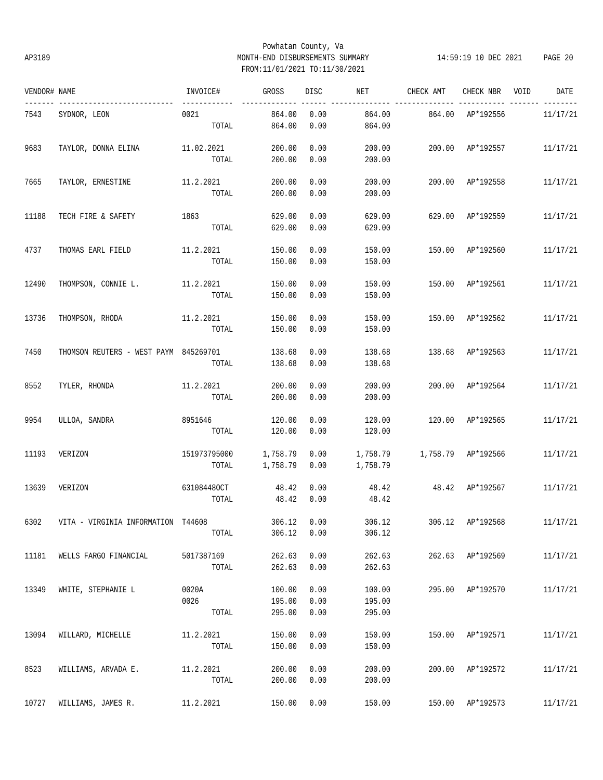# Powhatan County, Va AP3189 MONTH-END DISBURSEMENTS SUMMARY 14:59:19 10 DEC 2021 PAGE 20 FROM:11/01/2021 TO:11/30/2021

| VENDOR# NAME |                                       | INVOICE#     | GROSS    | DISC        | NET      | CHECK AMT          | CHECK NBR        | VOID | DATE     |
|--------------|---------------------------------------|--------------|----------|-------------|----------|--------------------|------------------|------|----------|
| 7543         | ----------------<br>SYDNOR, LEON      | 0021         | 864.00   | 0.00        | 864.00   | 864.00             | AP*192556        |      | 11/17/21 |
|              |                                       | TOTAL        | 864.00   | 0.00        | 864.00   |                    |                  |      |          |
| 9683         | TAYLOR, DONNA ELINA                   | 11.02.2021   | 200.00   | 0.00        | 200.00   |                    | 200.00 AP*192557 |      | 11/17/21 |
|              |                                       | TOTAL        | 200.00   | 0.00        | 200.00   |                    |                  |      |          |
| 7665         | TAYLOR, ERNESTINE                     | 11.2.2021    | 200.00   | 0.00        | 200.00   |                    | 200.00 AP*192558 |      | 11/17/21 |
|              |                                       | TOTAL        | 200.00   | 0.00        | 200.00   |                    |                  |      |          |
| 11188        | TECH FIRE & SAFETY                    | 1863         | 629.00   | 0.00        | 629.00   | 629.00             | AP*192559        |      | 11/17/21 |
|              |                                       | TOTAL        | 629.00   | 0.00        | 629.00   |                    |                  |      |          |
| 4737         | THOMAS EARL FIELD                     | 11.2.2021    | 150.00   | 0.00        | 150.00   | 150.00             | AP*192560        |      | 11/17/21 |
|              |                                       | TOTAL        | 150.00   | 0.00        | 150.00   |                    |                  |      |          |
| 12490        | THOMPSON, CONNIE L.                   | 11.2.2021    | 150.00   | 0.00        | 150.00   | 150.00             | AP*192561        |      | 11/17/21 |
|              |                                       | TOTAL        | 150.00   | 0.00        | 150.00   |                    |                  |      |          |
| 13736        | THOMPSON, RHODA                       | 11.2.2021    | 150.00   | 0.00        | 150.00   | 150.00             | AP*192562        |      | 11/17/21 |
|              |                                       | TOTAL        | 150.00   | 0.00        | 150.00   |                    |                  |      |          |
| 7450         | THOMSON REUTERS - WEST PAYM 845269701 |              | 138.68   | 0.00        | 138.68   | 138.68             | AP*192563        |      | 11/17/21 |
|              |                                       | TOTAL        | 138.68   | 0.00        | 138.68   |                    |                  |      |          |
| 8552         | TYLER, RHONDA                         | 11.2.2021    | 200.00   | 0.00        | 200.00   | 200.00             | AP*192564        |      | 11/17/21 |
|              |                                       | TOTAL        | 200.00   | 0.00        | 200.00   |                    |                  |      |          |
| 9954         | ULLOA, SANDRA                         | 8951646      | 120.00   | 0.00        | 120.00   |                    | 120.00 AP*192565 |      | 11/17/21 |
|              |                                       | TOTAL        | 120.00   | 0.00        | 120.00   |                    |                  |      |          |
| 11193        | VERIZON                               | 151973795000 | 1,758.79 | 0.00        | 1,758.79 | 1,758.79 AP*192566 |                  |      | 11/17/21 |
|              |                                       | TOTAL        | 1,758.79 | 0.00        | 1,758.79 |                    |                  |      |          |
| 13639        | VERIZON                               | 631084480CT  | 48.42    | 0.00        | 48.42    | 48.42 AP*192567    |                  |      | 11/17/21 |
|              |                                       | TOTAL        | 48.42    | 0.00        | 48.42    |                    |                  |      |          |
| 6302         | VITA - VIRGINIA INFORMATION T44608    |              |          | 306.12 0.00 | 306.12   | 306.12 AP*192568   |                  |      | 11/17/21 |
|              |                                       | TOTAL        | 306.12   | 0.00        | 306.12   |                    |                  |      |          |
| 11181        | WELLS FARGO FINANCIAL                 | 5017387169   | 262.63   | 0.00        | 262.63   |                    | 262.63 AP*192569 |      | 11/17/21 |
|              |                                       | TOTAL        | 262.63   | 0.00        | 262.63   |                    |                  |      |          |
| 13349        | WHITE, STEPHANIE L                    | 0020A        | 100.00   | 0.00        | 100.00   |                    | 295.00 AP*192570 |      | 11/17/21 |
|              |                                       | 0026         | 195.00   | 0.00        | 195.00   |                    |                  |      |          |
|              |                                       | TOTAL        | 295.00   | 0.00        | 295.00   |                    |                  |      |          |
| 13094        | WILLARD, MICHELLE                     | 11.2.2021    | 150.00   | 0.00        | 150.00   | 150.00             | AP*192571        |      | 11/17/21 |
|              |                                       | TOTAL        | 150.00   | 0.00        | 150.00   |                    |                  |      |          |
| 8523         | WILLIAMS, ARVADA E.                   | 11.2.2021    | 200.00   | 0.00        | 200.00   | 200.00             | AP*192572        |      | 11/17/21 |
|              |                                       | TOTAL        | 200.00   | 0.00        | 200.00   |                    |                  |      |          |
| 10727        | WILLIAMS, JAMES R.                    | 11.2.2021    | 150.00   | 0.00        | 150.00   |                    | 150.00 AP*192573 |      | 11/17/21 |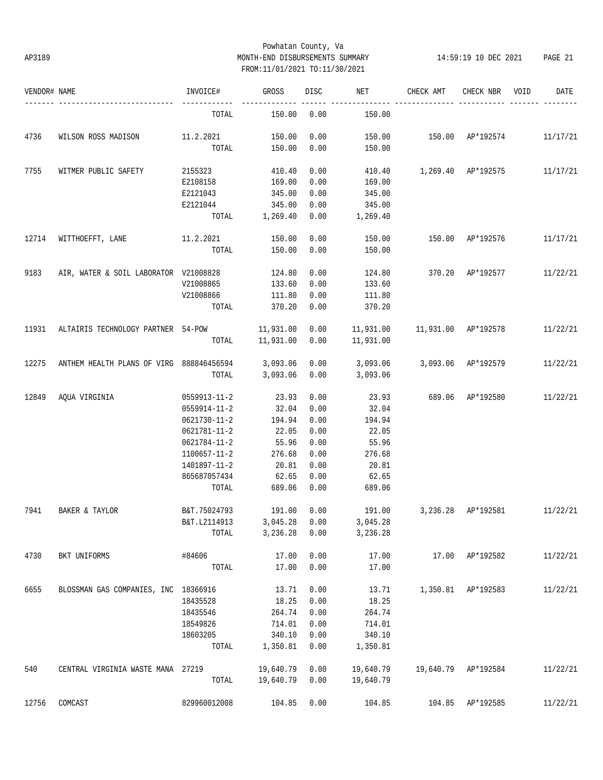# Powhatan County, Va AP3189 MONTH-END DISBURSEMENTS SUMMARY 14:59:19 10 DEC 2021 PAGE 21 FROM:11/01/2021 TO:11/30/2021

| VENDOR# NAME |                                          | INVOICE#              | GROSS                | DISC         | NET                  | CHECK AMT                     | CHECK NBR           | VOID | DATE     |
|--------------|------------------------------------------|-----------------------|----------------------|--------------|----------------------|-------------------------------|---------------------|------|----------|
|              |                                          | TOTAL                 | 150.00               | 0.00         | 150.00               |                               |                     |      |          |
| 4736         | WILSON ROSS MADISON 11.2.2021            |                       | 150.00               | 0.00         | 150.00               | 150.00 AP*192574              |                     |      | 11/17/21 |
|              |                                          | TOTAL                 | 150.00               | 0.00         | 150.00               |                               |                     |      |          |
| 7755         | WITMER PUBLIC SAFETY                     | 2155323               | 410.40               | 0.00         |                      | 410.40   1,269.40   AP*192575 |                     |      | 11/17/21 |
|              |                                          | E2108158              | 169.00               | 0.00         | 169.00               |                               |                     |      |          |
|              |                                          | E2121043              | 345.00               | 0.00         | 345.00               |                               |                     |      |          |
|              |                                          | E2121044              | 345.00               | 0.00         | 345.00               |                               |                     |      |          |
|              |                                          | TOTAL                 | 1,269.40             | 0.00         | 1,269.40             |                               |                     |      |          |
| 12714        | WITTHOEFFT, LANE                         | $11.2.2021$ 150.00    |                      | 0.00         | 150.00               | 150.00 AP*192576              |                     |      | 11/17/21 |
|              |                                          | TOTAL                 | 150.00               | 0.00         | 150.00               |                               |                     |      |          |
| 9183         | AIR, WATER & SOIL LABORATOR V21008828    |                       | 124.80               | 0.00         | 124.80               | 370.20 AP*192577              |                     |      | 11/22/21 |
|              |                                          | V21008865             | 133.60               | 0.00         | 133.60               |                               |                     |      |          |
|              |                                          | V21008866             | 111.80               | 0.00         | 111.80               |                               |                     |      |          |
|              |                                          | TOTAL                 | 370.20               | 0.00         | 370.20               |                               |                     |      |          |
| 11931        | ALTAIRIS TECHNOLOGY PARTNER 54-POW       |                       | 11,931.00 0.00       |              | 11,931.00            | 11,931.00 AP*192578           |                     |      | 11/22/21 |
|              |                                          | TOTAL                 | 11,931.00  0.00      |              | 11,931.00            |                               |                     |      |          |
|              |                                          |                       |                      |              |                      |                               |                     |      |          |
| 12275        | ANTHEM HEALTH PLANS OF VIRG 888846456594 |                       | 3,093.06 0.00        |              | 3,093.06             | 3,093.06 AP*192579            |                     |      | 11/22/21 |
|              |                                          | TOTAL                 | 3,093.06             | 0.00         | 3,093.06             |                               |                     |      |          |
| 12849        | AQUA VIRGINIA                            | 0559913-11-2          | 23.93                | 0.00         | 23.93                | 689.06 AP*192580              |                     |      | 11/22/21 |
|              |                                          | 0559914-11-2          | 32.04                | 0.00         | 32.04                |                               |                     |      |          |
|              |                                          | 0621730-11-2          | 194.94               | 0.00         | 194.94               |                               |                     |      |          |
|              |                                          | 0621781-11-2          | 22.05                | 0.00         | 22.05                |                               |                     |      |          |
|              |                                          | 0621784-11-2          | 55.96                | 0.00         | 55.96                |                               |                     |      |          |
|              |                                          | 1100657-11-2          | 276.68               | 0.00         | 276.68               |                               |                     |      |          |
|              |                                          | 1401897-11-2          | 20.81                | 0.00         | 20.81                |                               |                     |      |          |
|              |                                          | 865687057434          | 62.65                | 0.00         | 62.65                |                               |                     |      |          |
|              |                                          | TOTAL                 | 689.06               | 0.00         | 689.06               |                               |                     |      |          |
| 7941         | BAKER & TAYLOR                           | B&T.75024793          | 191.00               | 0.00         | 191.00               |                               | 3,236.28 AP*192581  |      | 11/22/21 |
|              |                                          |                       |                      |              |                      |                               |                     |      |          |
|              |                                          | B&T.L2114913<br>TOTAL | 3,045.28<br>3,236.28 | 0.00<br>0.00 | 3,045.28<br>3,236.28 |                               |                     |      |          |
|              |                                          |                       |                      |              |                      |                               |                     |      |          |
| 4730         | BKT UNIFORMS                             | #84606                | 17.00                | 0.00         | 17.00                |                               | 17.00 AP*192582     |      | 11/22/21 |
|              |                                          | TOTAL                 | 17.00                | 0.00         | 17.00                |                               |                     |      |          |
| 6655         | BLOSSMAN GAS COMPANIES, INC 18366916     |                       | 13.71                | 0.00         | 13.71                |                               | 1,350.81 AP*192583  |      | 11/22/21 |
|              |                                          | 18435528              | 18.25                | 0.00         | 18.25                |                               |                     |      |          |
|              |                                          | 18435546              | 264.74               | 0.00         | 264.74               |                               |                     |      |          |
|              |                                          | 18549826              | 714.01               | 0.00         | 714.01               |                               |                     |      |          |
|              |                                          | 18603205              | 340.10               | 0.00         | 340.10               |                               |                     |      |          |
|              |                                          | TOTAL                 | 1,350.81             | 0.00         | 1,350.81             |                               |                     |      |          |
| 540          | CENTRAL VIRGINIA WASTE MANA 27219        |                       | 19,640.79            | 0.00         | 19,640.79            |                               | 19,640.79 AP*192584 |      | 11/22/21 |
|              |                                          | TOTAL                 | 19,640.79            | 0.00         | 19,640.79            |                               |                     |      |          |
|              |                                          |                       |                      |              |                      |                               |                     |      |          |
| 12756        | COMCAST                                  | 829960012008          | 104.85               | 0.00         | 104.85               |                               | 104.85 AP*192585    |      | 11/22/21 |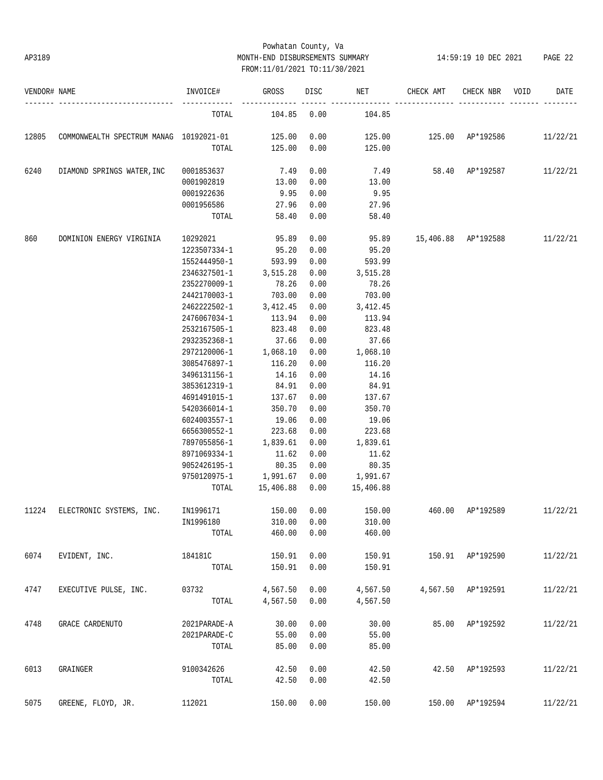# Powhatan County, Va AP3189 MONTH-END DISBURSEMENTS SUMMARY 14:59:19 10 DEC 2021 PAGE 22 FROM:11/01/2021 TO:11/30/2021

| VENDOR# NAME |                                         | INVOICE#                   | GROSS           | DISC | NET       | CHECK AMT                              | CHECK NBR          | VOID | DATE     |
|--------------|-----------------------------------------|----------------------------|-----------------|------|-----------|----------------------------------------|--------------------|------|----------|
|              |                                         | TOTAL                      | 104.85 0.00     |      | 104.85    |                                        |                    |      |          |
| 12805        | COMMONWEALTH SPECTRUM MANAG 10192021-01 |                            | 125.00          | 0.00 |           | 125.00   125.00   AP*192586   11/22/21 |                    |      |          |
|              |                                         | TOTAL                      | 125.00          | 0.00 | 125.00    |                                        |                    |      |          |
| 6240         | DIAMOND SPRINGS WATER, INC              | 0001853637                 | 7.49            | 0.00 |           | 7.49 58.40 AP*192587                   |                    |      | 11/22/21 |
|              |                                         | 0001902819                 | 13.00           | 0.00 | 13.00     |                                        |                    |      |          |
|              |                                         | 0001922636                 | 9.95            | 0.00 | 9.95      |                                        |                    |      |          |
|              |                                         | 0001956586                 | 27.96           | 0.00 | 27.96     |                                        |                    |      |          |
|              |                                         | TOTAL                      | 58.40           | 0.00 | 58.40     |                                        |                    |      |          |
| 860          | DOMINION ENERGY VIRGINIA                | 10292021                   | 95.89           | 0.00 | 95.89     | 15,406.88 AP*192588                    |                    |      | 11/22/21 |
|              |                                         | 1223507334-1               | 95.20           | 0.00 | 95.20     |                                        |                    |      |          |
|              |                                         | 1552444950-1               | 593.99          | 0.00 | 593.99    |                                        |                    |      |          |
|              |                                         | 2346327501-1               | 3,515.28        | 0.00 | 3,515.28  |                                        |                    |      |          |
|              |                                         | 2352270009-1               | 78.26           | 0.00 | 78.26     |                                        |                    |      |          |
|              |                                         | 2442170003-1               | 703.00          | 0.00 | 703.00    |                                        |                    |      |          |
|              |                                         | $2462222502 - 1$ 3, 412.45 |                 | 0.00 | 3,412.45  |                                        |                    |      |          |
|              |                                         | 2476067034-1               | 113.94          | 0.00 | 113.94    |                                        |                    |      |          |
|              |                                         | 2532167505-1               | 823.48          | 0.00 | 823.48    |                                        |                    |      |          |
|              |                                         | 2932352368-1               | 37.66           | 0.00 | 37.66     |                                        |                    |      |          |
|              |                                         | 2972120006-1 1,068.10      |                 | 0.00 | 1,068.10  |                                        |                    |      |          |
|              |                                         | 3085476897-1               | 116.20          | 0.00 | 116.20    |                                        |                    |      |          |
|              |                                         | 3496131156-1               | 14.16           | 0.00 | 14.16     |                                        |                    |      |          |
|              |                                         | 3853612319-1               | 84.91           | 0.00 | 84.91     |                                        |                    |      |          |
|              |                                         | 4691491015-1               | 137.67          | 0.00 | 137.67    |                                        |                    |      |          |
|              |                                         | 5420366014-1               | 350.70          | 0.00 | 350.70    |                                        |                    |      |          |
|              |                                         | 6024003557-1               | 19.06           | 0.00 | 19.06     |                                        |                    |      |          |
|              |                                         | 6656300552-1               | 223.68          | 0.00 | 223.68    |                                        |                    |      |          |
|              |                                         | 7897055856-1 1,839.61      |                 | 0.00 | 1,839.61  |                                        |                    |      |          |
|              |                                         | 8971069334-1               | 11.62           | 0.00 | 11.62     |                                        |                    |      |          |
|              |                                         | 9052426195-1               | 80.35           | 0.00 | 80.35     |                                        |                    |      |          |
|              |                                         | 9750120975-1 1,991.67      |                 | 0.00 | 1,991.67  |                                        |                    |      |          |
|              |                                         |                            | TOTAL 15,406.88 | 0.00 | 15,406.88 |                                        |                    |      |          |
| 11224        | ELECTRONIC SYSTEMS, INC. IN1996171      |                            | 150.00          | 0.00 | 150.00    | 460.00 AP*192589                       |                    |      | 11/22/21 |
|              |                                         | IN1996180                  | 310.00          | 0.00 | 310.00    |                                        |                    |      |          |
|              |                                         | TOTAL                      | 460.00          | 0.00 | 460.00    |                                        |                    |      |          |
| 6074         | EVIDENT, INC.                           | 184181C                    | 150.91          | 0.00 | 150.91    |                                        | 150.91 AP*192590   |      | 11/22/21 |
|              |                                         | TOTAL                      | 150.91          | 0.00 | 150.91    |                                        |                    |      |          |
| 4747         | EXECUTIVE PULSE, INC.                   | 03732                      | 4,567.50        | 0.00 | 4,567.50  |                                        | 4,567.50 AP*192591 |      | 11/22/21 |
|              |                                         | TOTAL                      | 4,567.50        | 0.00 | 4,567.50  |                                        |                    |      |          |
| 4748         | GRACE CARDENUTO                         | 2021PARADE-A               | 30.00           | 0.00 | 30.00     |                                        | 85.00 AP*192592    |      | 11/22/21 |
|              |                                         | 2021PARADE-C               | 55.00           | 0.00 | 55.00     |                                        |                    |      |          |
|              |                                         | TOTAL                      | 85.00           | 0.00 | 85.00     |                                        |                    |      |          |
| 6013         | GRAINGER                                | 9100342626                 | 42.50           | 0.00 | 42.50     |                                        | 42.50 AP*192593    |      | 11/22/21 |
|              |                                         | TOTAL                      | 42.50           | 0.00 | 42.50     |                                        |                    |      |          |
| 5075         | GREENE, FLOYD, JR.                      | 112021                     | 150.00          | 0.00 | 150.00    |                                        | 150.00 AP*192594   |      | 11/22/21 |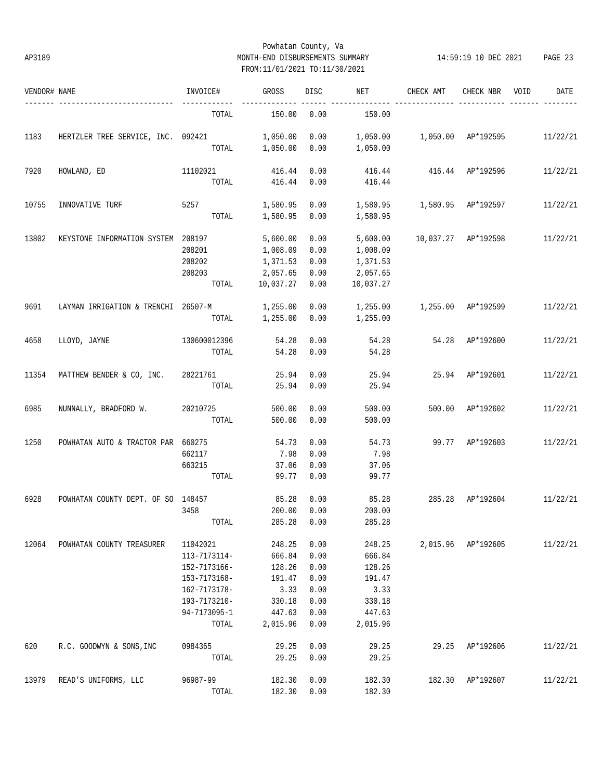# Powhatan County, Va AP3189 MONTH-END DISBURSEMENTS SUMMARY 14:59:19 10 DEC 2021 PAGE 23 FROM:11/01/2021 TO:11/30/2021

| VENDOR# NAME |                                     | INVOICE#     | GROSS     | DISC | NET       | CHECK AMT                 | CHECK NBR          | VOID | DATE     |
|--------------|-------------------------------------|--------------|-----------|------|-----------|---------------------------|--------------------|------|----------|
|              |                                     | TOTAL        | 150.00    | 0.00 | 150.00    |                           |                    |      |          |
| 1183         | HERTZLER TREE SERVICE, INC. 092421  |              | 1,050.00  | 0.00 | 1,050.00  | 1,050.00 AP*192595        |                    |      | 11/22/21 |
|              |                                     | TOTAL        | 1,050.00  | 0.00 | 1,050.00  |                           |                    |      |          |
| 7920         | HOWLAND, ED                         | 11102021     | 416.44    | 0.00 |           | 416.44  416.44  AP*192596 |                    |      | 11/22/21 |
|              |                                     | TOTAL        | 416.44    | 0.00 | 416.44    |                           |                    |      |          |
| 10755        | INNOVATIVE TURF                     | 5257         | 1,580.95  | 0.00 |           |                           |                    |      | 11/22/21 |
|              |                                     | TOTAL        | 1,580.95  | 0.00 | 1,580.95  |                           |                    |      |          |
| 13802        | KEYSTONE INFORMATION SYSTEM 208197  |              | 5,600.00  | 0.00 | 5,600.00  | 10,037.27 AP*192598       |                    |      | 11/22/21 |
|              |                                     | 208201       | 1,008.09  | 0.00 | 1,008.09  |                           |                    |      |          |
|              |                                     | 208202       | 1,371.53  | 0.00 | 1,371.53  |                           |                    |      |          |
|              |                                     | 208203       | 2,057.65  | 0.00 | 2,057.65  |                           |                    |      |          |
|              |                                     | TOTAL        | 10,037.27 | 0.00 | 10,037.27 |                           |                    |      |          |
| 9691         | LAYMAN IRRIGATION & TRENCHI 26507-M |              | 1,255.00  | 0.00 | 1,255.00  | 1,255.00 AP*192599        |                    |      | 11/22/21 |
|              |                                     | TOTAL        | 1,255.00  | 0.00 | 1,255.00  |                           |                    |      |          |
| 4658         | LLOYD, JAYNE                        | 130600012396 | 54.28     | 0.00 | 54.28     |                           | 54.28 AP*192600    |      | 11/22/21 |
|              |                                     | TOTAL        | 54.28     | 0.00 | 54.28     |                           |                    |      |          |
| 11354        | MATTHEW BENDER & CO, INC. 28221761  |              | 25.94     | 0.00 | 25.94     |                           | 25.94 AP*192601    |      | 11/22/21 |
|              |                                     | TOTAL        | 25.94     | 0.00 | 25.94     |                           |                    |      |          |
| 6985         | NUNNALLY, BRADFORD W.               | 20210725     | 500.00    | 0.00 | 500.00    |                           | 500.00 AP*192602   |      | 11/22/21 |
|              |                                     | TOTAL        | 500.00    | 0.00 | 500.00    |                           |                    |      |          |
| 1250         | POWHATAN AUTO & TRACTOR PAR 660275  |              | 54.73     | 0.00 | 54.73     |                           | 99.77 AP*192603    |      | 11/22/21 |
|              |                                     | 662117       | 7.98      | 0.00 | 7.98      |                           |                    |      |          |
|              |                                     | 663215       | 37.06     | 0.00 | 37.06     |                           |                    |      |          |
|              |                                     | TOTAL        | 99.77     | 0.00 | 99.77     |                           |                    |      |          |
| 6928         | POWHATAN COUNTY DEPT. OF SO 148457  |              | 85.28     | 0.00 | 85.28     | 285.28                    | AP*192604          |      | 11/22/21 |
|              |                                     | 3458         | 200.00    | 0.00 | 200.00    |                           |                    |      |          |
|              |                                     | TOTAL        | 285.28    | 0.00 | 285.28    |                           |                    |      |          |
| 12064        | POWHATAN COUNTY TREASURER           | 11042021     | 248.25    | 0.00 | 248.25    |                           | 2,015.96 AP*192605 |      | 11/22/21 |
|              |                                     | 113-7173114- | 666.84    | 0.00 | 666.84    |                           |                    |      |          |
|              |                                     | 152-7173166- | 128.26    | 0.00 | 128.26    |                           |                    |      |          |
|              |                                     | 153-7173168- | 191.47    | 0.00 | 191.47    |                           |                    |      |          |
|              |                                     | 162-7173178- | 3.33      | 0.00 | 3.33      |                           |                    |      |          |
|              |                                     | 193-7173210- | 330.18    | 0.00 | 330.18    |                           |                    |      |          |
|              |                                     | 94-7173095-1 | 447.63    | 0.00 | 447.63    |                           |                    |      |          |
|              |                                     | TOTAL        | 2,015.96  | 0.00 | 2,015.96  |                           |                    |      |          |
| 620          | R.C. GOODWYN & SONS, INC            | 0984365      | 29.25     | 0.00 | 29.25     | 29.25                     | AP*192606          |      | 11/22/21 |
|              |                                     | TOTAL        | 29.25     | 0.00 | 29.25     |                           |                    |      |          |
| 13979        | READ'S UNIFORMS, LLC                | 96987-99     | 182.30    | 0.00 | 182.30    |                           | 182.30 AP*192607   |      | 11/22/21 |
|              |                                     | TOTAL        | 182.30    | 0.00 | 182.30    |                           |                    |      |          |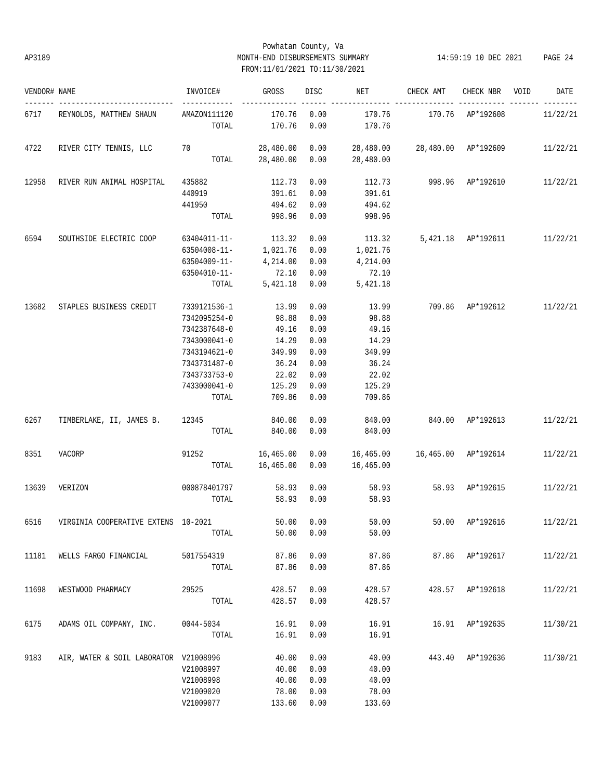# Powhatan County, Va AP3189 MONTH-END DISBURSEMENTS SUMMARY 14:59:19 10 DEC 2021 PAGE 24 FROM:11/01/2021 TO:11/30/2021

| VENDOR# NAME |                                       | INVOICE#                                                                                                                              | GROSS                                                                            | DISC                                                                 | NET                                                                                | CHECK AMT                 | CHECK NBR VOID              | DATE     |
|--------------|---------------------------------------|---------------------------------------------------------------------------------------------------------------------------------------|----------------------------------------------------------------------------------|----------------------------------------------------------------------|------------------------------------------------------------------------------------|---------------------------|-----------------------------|----------|
|              | 6717 REYNOLDS, MATTHEW SHAUN          | AMAZON111120<br>TOTAL                                                                                                                 | 170.76 0.00<br>170.76                                                            | 0.00                                                                 | 170.76<br>170.76                                                                   | 170.76 AP*192608          |                             | 11/22/21 |
| 4722         | RIVER CITY TENNIS, LLC 70             |                                                                                                                                       |                                                                                  |                                                                      | 28,480.00  0.00  28,480.00  28,480.00  AP*192609<br>TOTAL 28,480.00 0.00 28,480.00 |                           |                             | 11/22/21 |
| 12958        | RIVER RUN ANIMAL HOSPITAL             | 435882<br>440919<br>441950<br>TOTAL                                                                                                   | 112.73<br>391.61<br>494.62<br>998.96                                             | 0.00<br>0.00<br>0.00<br>0.00                                         | 391.61<br>494.62<br>998.96                                                         | 112.73 998.96 AP*192610   |                             | 11/22/21 |
| 6594         | SOUTHSIDE ELECTRIC COOP               | 63404011-11- 113.32<br>63504008-11-<br>63504009-11-<br>63504010-11-<br>TOTAL                                                          | 1,021.76 0.00<br>4,214.00<br>72.10<br>5,421.18                                   | 0.00<br>0.00<br>0.00<br>0.00                                         | 113.32<br>1,021.76<br>4,214.00<br>72.10<br>5,421.18                                |                           | 5,421.18 AP*192611 11/22/21 |          |
| 13682        | STAPLES BUSINESS CREDIT               | 7339121536-1<br>7342095254-0<br>7342387648-0<br>7343000041-0<br>7343194621-0<br>7343731487-0<br>7343733753-0<br>7433000041-0<br>TOTAL | 13.99<br>98.88<br>49.16<br>14.29<br>349.99<br>36.24<br>22.02<br>125.29<br>709.86 | 0.00<br>0.00<br>0.00<br>0.00<br>0.00<br>0.00<br>0.00<br>0.00<br>0.00 | 13.99<br>98.88<br>49.16<br>14.29<br>349.99<br>36.24<br>22.02<br>125.29<br>709.86   | 709.86 AP*192612 11/22/21 |                             |          |
| 6267         | TIMBERLAKE, II, JAMES B. 12345 840.00 |                                                                                                                                       | TOTAL 840.00                                                                     | 0.00<br>0.00                                                         | 840.00<br>840.00                                                                   | 840.00 AP*192613          |                             | 11/22/21 |
| 8351         | VACORP                                | 91252 16,465.00 0.00 16,465.00 16,465.00 AP*192614<br>TOTAL                                                                           | 16,465.00 0.00                                                                   |                                                                      | 16,465.00                                                                          |                           |                             | 11/22/21 |
| 13639        | VERIZON                               | 000878401797<br>TOTAL                                                                                                                 | 58.93                                                                            | 0.00<br>58.93 0.00                                                   | 58.93                                                                              | 58.93 58.93 AP*192615     |                             | 11/22/21 |
|              |                                       | TOTAL                                                                                                                                 | 50.00                                                                            | 0.00                                                                 | 50.00                                                                              |                           |                             |          |
| 11181        | WELLS FARGO FINANCIAL                 | 5017554319<br>TOTAL                                                                                                                   | 87.86<br>87.86                                                                   | 0.00<br>0.00                                                         | 87.86                                                                              | 87.86 87.86 AP*192617     |                             | 11/22/21 |
| 11698        | WESTWOOD PHARMACY                     | 29525<br>TOTAL                                                                                                                        | 428.57<br>428.57                                                                 | 0.00<br>0.00                                                         | 428.57<br>428.57                                                                   |                           | 428.57 AP*192618            | 11/22/21 |
| 6175         | ADAMS OIL COMPANY, INC. 0044-5034     | TOTAL                                                                                                                                 | 16.91<br>16.91                                                                   | 0.00<br>0.00                                                         | 16.91<br>16.91                                                                     |                           | 16.91 AP*192635             | 11/30/21 |
| 9183         | AIR, WATER & SOIL LABORATOR V21008996 | V21008997<br>V21008998<br>V21009020<br>V21009077                                                                                      | 40.00<br>40.00<br>40.00<br>78.00<br>133.60                                       | 0.00<br>0.00<br>0.00<br>0.00<br>0.00                                 | 40.00<br>40.00<br>40.00<br>78.00<br>133.60                                         |                           | 443.40 AP*192636            | 11/30/21 |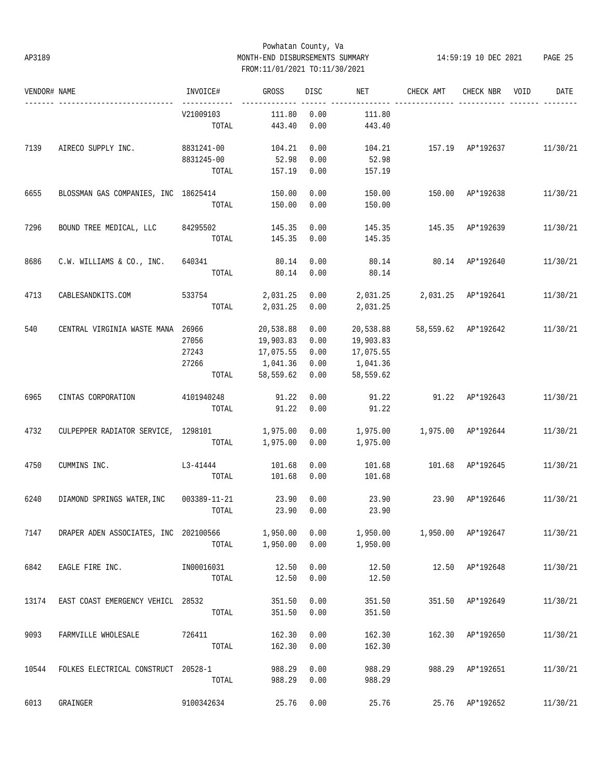# Powhatan County, Va AP3189 MONTH-END DISBURSEMENTS SUMMARY 14:59:19 10 DEC 2021 PAGE 25 FROM:11/01/2021 TO:11/30/2021

| VENDOR# NAME |                                         | INVOICE#   | GROSS           | DISC | NET                         | CHECK AMT               | CHECK NBR VOID   |                                                                                                                | DATE     |
|--------------|-----------------------------------------|------------|-----------------|------|-----------------------------|-------------------------|------------------|----------------------------------------------------------------------------------------------------------------|----------|
|              |                                         | V21009103  | 111.80          | 0.00 | 111.80                      |                         |                  |                                                                                                                |          |
|              |                                         | TOTAL      | 443.40          | 0.00 | 443.40                      |                         |                  |                                                                                                                |          |
| 7139         | AIRECO SUPPLY INC.                      | 8831241-00 | 104.21          | 0.00 | 104.21                      |                         |                  |                                                                                                                |          |
|              |                                         | 8831245-00 | 52.98           | 0.00 | 52.98                       |                         |                  |                                                                                                                |          |
|              |                                         |            | TOTAL 157.19    | 0.00 | 157.19                      |                         |                  |                                                                                                                |          |
| 6655         | BLOSSMAN GAS COMPANIES, INC 18625414    |            | 150.00          | 0.00 | 150.00                      |                         |                  |                                                                                                                | 11/30/21 |
|              |                                         | TOTAL      | 150.00          | 0.00 | 150.00                      |                         |                  |                                                                                                                |          |
| 7296         | BOUND TREE MEDICAL, LLC 84295502        |            | 145.35          | 0.00 |                             | 145.35 145.35 AP*192639 |                  |                                                                                                                | 11/30/21 |
|              |                                         | TOTAL      | 145.35          | 0.00 | 145.35                      |                         |                  |                                                                                                                |          |
| 8686         | C.W. WILLIAMS & CO., INC. 640341        |            | 80.14           | 0.00 | 80.14                       | 80.14 AP*192640         |                  | 157.19 AP*192637 11/30/21                                                                                      | 11/30/21 |
|              |                                         | TOTAL      | 80.14           | 0.00 | 80.14                       |                         |                  |                                                                                                                |          |
| 4713         | CABLESANDKITS.COM                       | 533754     | 2,031.25        | 0.00 | 2,031.25 2,031.25 AP*192641 |                         |                  |                                                                                                                | 11/30/21 |
|              |                                         |            | TOTAL 2,031.25  | 0.00 | 2,031.25                    |                         |                  |                                                                                                                |          |
| 540          | CENTRAL VIRGINIA WASTE MANA 26966       |            | 20,538.88       | 0.00 | 20,538.88                   |                         |                  |                                                                                                                | 11/30/21 |
|              |                                         | 27056      | 19,903.83       | 0.00 | 19,903.83                   |                         |                  |                                                                                                                |          |
|              |                                         | 27243      | 17,075.55       | 0.00 | 17,075.55                   |                         |                  |                                                                                                                |          |
|              |                                         | 27266      | 1,041.36        | 0.00 | 1,041.36                    |                         |                  |                                                                                                                |          |
|              |                                         |            | TOTAL 58,559.62 | 0.00 | 58,559.62                   |                         |                  |                                                                                                                |          |
| 6965         | CINTAS CORPORATION                      | 4101940248 | 91.22           | 0.00 | 91.22                       | 91.22 AP*192643         |                  |                                                                                                                | 11/30/21 |
|              |                                         | TOTAL      | 91.22           | 0.00 | 91.22                       |                         |                  |                                                                                                                |          |
| 4732         | CULPEPPER RADIATOR SERVICE, 1298101     |            | 1,975.00        | 0.00 | 1,975.00                    |                         |                  |                                                                                                                | 11/30/21 |
|              |                                         |            | TOTAL 1,975.00  | 0.00 | 1,975.00                    |                         |                  |                                                                                                                |          |
| 4750         | CUMMINS INC.<br>$L3 - 41444$            |            | 101.68          | 0.00 | 101.68                      |                         |                  |                                                                                                                | 11/30/21 |
|              |                                         | TOTAL      | 101.68          | 0.00 | 101.68                      |                         |                  | 150.00 AP*192638<br>58,559.62 AP*192642<br>1,975.00 AP*192644<br>101.68 AP*192645<br>12.50   12.50   AP*192648 |          |
| 6240         | DIAMOND SPRINGS WATER, INC 003389-11-21 |            | 23.90           | 0.00 | 23.90                       | 23.90 AP*192646         |                  |                                                                                                                | 11/30/21 |
|              |                                         | TOTAL      | 23.90           | 0.00 | 23.90                       |                         |                  |                                                                                                                |          |
| 7147         | DRAPER ADEN ASSOCIATES, INC 202100566   |            | 1,950.00        | 0.00 |                             |                         |                  |                                                                                                                | 11/30/21 |
|              |                                         | TOTAL      | 1,950.00        | 0.00 | 1,950.00                    |                         |                  |                                                                                                                |          |
| 6842         | EAGLE FIRE INC.                         | IN00016031 | 12.50           | 0.00 |                             |                         |                  |                                                                                                                | 11/30/21 |
|              |                                         | TOTAL      | 12.50           | 0.00 | 12.50                       |                         |                  |                                                                                                                |          |
| 13174        | EAST COAST EMERGENCY VEHICL 28532       |            | 351.50          | 0.00 | 351.50                      | 351.50 AP*192649        |                  |                                                                                                                | 11/30/21 |
|              |                                         | TOTAL      | 351.50          | 0.00 | 351.50                      |                         |                  |                                                                                                                |          |
| 9093         | FARMVILLE WHOLESALE 726411              |            | 162.30          | 0.00 | 162.30                      |                         | 162.30 AP*192650 |                                                                                                                | 11/30/21 |
|              |                                         | TOTAL      | 162.30          | 0.00 | 162.30                      |                         |                  |                                                                                                                |          |
| 10544        | FOLKES ELECTRICAL CONSTRUCT 20528-1     |            | 988.29          | 0.00 | 988.29                      |                         | 988.29 AP*192651 |                                                                                                                | 11/30/21 |
|              |                                         | TOTAL      | 988.29          | 0.00 | 988.29                      |                         |                  |                                                                                                                |          |
| 6013         | GRAINGER                                | 9100342634 | 25.76           | 0.00 | 25.76                       |                         | 25.76 AP*192652  |                                                                                                                | 11/30/21 |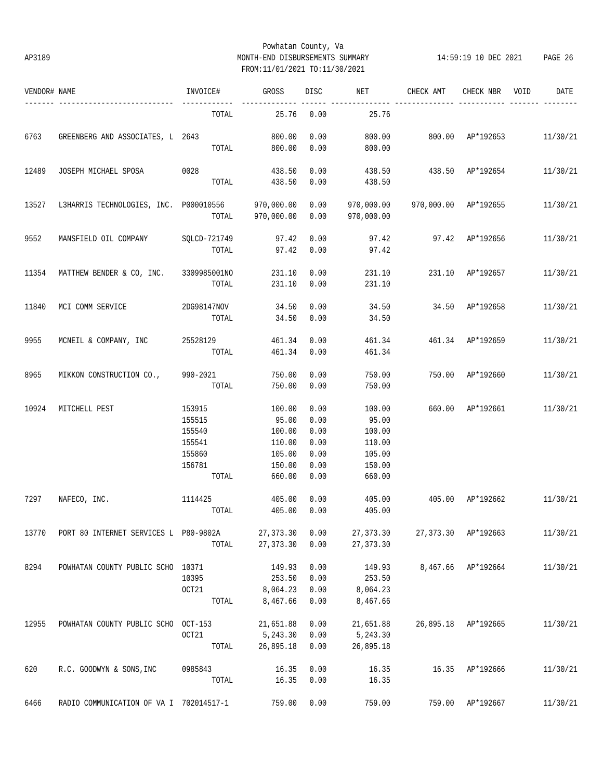# Powhatan County, Va AP3189 MONTH-END DISBURSEMENTS SUMMARY 14:59:19 10 DEC 2021 PAGE 26 FROM:11/01/2021 TO:11/30/2021

| VENDOR# NAME |                                                   | INVOICE# | GROSS        | DISC | NET                        | CHECK AMT                 | CHECK NBR          | VOID<br>DATE |
|--------------|---------------------------------------------------|----------|--------------|------|----------------------------|---------------------------|--------------------|--------------|
|              |                                                   | TOTAL    | 25.76        | 0.00 | 25.76                      |                           |                    |              |
| 6763         | GREENBERG AND ASSOCIATES, L 2643                  |          | 800.00       | 0.00 | 800.00                     | 800.00 AP*192653          |                    | 11/30/21     |
|              |                                                   |          | TOTAL 800.00 | 0.00 | 800.00                     |                           |                    |              |
| 12489        | JOSEPH MICHAEL SPOSA 0028                         |          | 438.50       | 0.00 |                            | 438.50 438.50 AP*192654   |                    | 11/30/21     |
|              |                                                   | TOTAL    | 438.50       | 0.00 | 438.50                     |                           |                    |              |
| 13527        | L3HARRIS TECHNOLOGIES, INC. P000010556 970,000.00 |          |              | 0.00 | 970,000.00                 | 970,000.00 AP*192655      |                    | 11/30/21     |
|              |                                                   | TOTAL    | 970,000.00   | 0.00 | 970,000.00                 |                           |                    |              |
| 9552         | MANSFIELD OIL COMPANY SQLCD-721749                |          | 97.42        | 0.00 |                            | 97.42 97.42 AP*192656     |                    | 11/30/21     |
|              |                                                   | TOTAL    | 97.42        | 0.00 | 97.42                      |                           |                    |              |
| 11354        | MATTHEW BENDER & CO, INC. 3309985001NO            |          | 231.10       | 0.00 | 231.10<br>231.10 AP*192657 |                           | 11/30/21           |              |
|              |                                                   | TOTAL    | 231.10       | 0.00 | 231.10                     |                           |                    |              |
| 11840        | MCI COMM SERVICE 2DG98147NOV                      |          | 34.50        | 0.00 | 34.50                      | 34.50 AP*192658           |                    | 11/30/21     |
|              |                                                   | TOTAL    | 34.50        | 0.00 | 34.50                      |                           |                    |              |
| 9955         | MCNEIL & COMPANY, INC 25528129                    |          | 461.34       | 0.00 |                            | 461.34  461.34  AP*192659 |                    | 11/30/21     |
|              |                                                   | TOTAL    | 461.34       | 0.00 | 461.34                     |                           |                    |              |
| 8965         | MIKKON CONSTRUCTION CO.,                          | 990-2021 | 750.00       | 0.00 | 750.00                     | 750.00 AP*192660          |                    | 11/30/21     |
|              |                                                   | TOTAL    | 750.00       | 0.00 | 750.00                     |                           |                    |              |
| 10924        | MITCHELL PEST                                     | 153915   | 100.00       | 0.00 | 100.00                     | 660.00 AP*192661          |                    | 11/30/21     |
|              |                                                   | 155515   | 95.00        | 0.00 | 95.00                      |                           |                    |              |
|              |                                                   | 155540   | 100.00       | 0.00 | 100.00                     |                           |                    |              |
|              |                                                   | 155541   | 110.00       | 0.00 | 110.00                     |                           |                    |              |
|              |                                                   | 155860   | 105.00       | 0.00 | 105.00                     |                           |                    |              |
|              |                                                   | 156781   | 150.00       | 0.00 | 150.00                     |                           |                    |              |
|              |                                                   | TOTAL    | 660.00       | 0.00 | 660.00                     |                           |                    |              |
| 7297         | 1114425<br>NAFECO, INC.                           |          | 405.00       | 0.00 | 405.00                     | 405.00 AP*192662          |                    | 11/30/21     |
|              |                                                   | TOTAL    | 405.00       | 0.00 | 405.00                     |                           |                    |              |
| 13770        | PORT 80 INTERNET SERVICES L P80-9802A             |          | 27, 373.30   | 0.00 | 27, 373.30                 | 27,373.30                 | AP*192663          | 11/30/21     |
|              |                                                   | TOTAL    | 27, 373.30   | 0.00 | 27, 373.30                 |                           |                    |              |
| 8294         | POWHATAN COUNTY PUBLIC SCHO 10371                 |          | 149.93       | 0.00 | 149.93                     |                           | 8,467.66 AP*192664 | 11/30/21     |
|              |                                                   | 10395    | 253.50       | 0.00 | 253.50                     |                           |                    |              |
|              |                                                   | OCT21    | 8,064.23     | 0.00 | 8,064.23                   |                           |                    |              |
|              |                                                   | TOTAL    | 8,467.66     | 0.00 | 8,467.66                   |                           |                    |              |
| 12955        | POWHATAN COUNTY PUBLIC SCHO OCT-153               |          | 21,651.88    | 0.00 | 21,651.88                  | 26,895.18                 | AP*192665          | 11/30/21     |
|              |                                                   | OCT21    | 5,243.30     | 0.00 | 5,243.30                   |                           |                    |              |
|              |                                                   | TOTAL    | 26,895.18    | 0.00 | 26,895.18                  |                           |                    |              |
| 620          | R.C. GOODWYN & SONS, INC                          | 0985843  | 16.35        | 0.00 | 16.35                      | 16.35                     | AP*192666          | 11/30/21     |
|              |                                                   | TOTAL    | 16.35        | 0.00 | 16.35                      |                           |                    |              |
| 6466         | RADIO COMMUNICATION OF VA I 702014517-1           |          | 759.00       | 0.00 | 759.00                     |                           | 759.00 AP*192667   | 11/30/21     |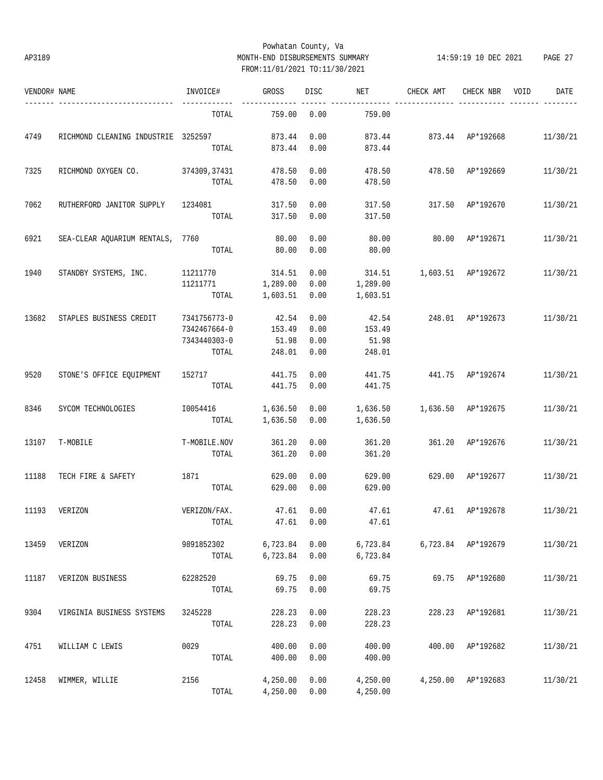# Powhatan County, Va AP3189 MONTH-END DISBURSEMENTS SUMMARY 14:59:19 10 DEC 2021 PAGE 27 FROM:11/01/2021 TO:11/30/2021

| VENDOR# NAME |                                     | INVOICE#                                              | GROSS                              | DISC                         | NET                                | CHECK AMT          | CHECK NBR          | VOID | DATE     |
|--------------|-------------------------------------|-------------------------------------------------------|------------------------------------|------------------------------|------------------------------------|--------------------|--------------------|------|----------|
|              | ----------------------              | TOTAL                                                 | 759.00                             | 0.00                         | 759.00                             |                    |                    |      |          |
| 4749         | RICHMOND CLEANING INDUSTRIE 3252597 | TOTAL                                                 | 873.44<br>873.44                   | 0.00<br>0.00                 | 873.44<br>873.44                   | 873.44 AP*192668   |                    |      | 11/30/21 |
| 7325         | RICHMOND OXYGEN CO. 374309,37431    | TOTAL                                                 | 478.50<br>478.50                   | 0.00<br>0.00                 | 478.50<br>478.50                   | 478.50 AP*192669   |                    |      | 11/30/21 |
| 7062         | RUTHERFORD JANITOR SUPPLY           | 1234081<br>TOTAL                                      | 317.50<br>317.50                   | 0.00<br>0.00                 | 317.50<br>317.50                   | 317.50 AP*192670   |                    |      | 11/30/21 |
| 6921         | SEA-CLEAR AQUARIUM RENTALS, 7760    | TOTAL                                                 | 80.00<br>80.00                     | 0.00<br>0.00                 | 80.00<br>80.00                     | 80.00              | AP*192671          |      | 11/30/21 |
| 1940         | STANDBY SYSTEMS, INC.               | 11211770<br>11211771<br>TOTAL                         | 314.51<br>1,289.00<br>1,603.51     | 0.00<br>0.00<br>0.00         | 314.51<br>1,289.00<br>1,603.51     | 1,603.51 AP*192672 |                    |      | 11/30/21 |
| 13682        | STAPLES BUSINESS CREDIT             | 7341756773-0<br>7342467664-0<br>7343440303-0<br>TOTAL | 42.54<br>153.49<br>51.98<br>248.01 | 0.00<br>0.00<br>0.00<br>0.00 | 42.54<br>153.49<br>51.98<br>248.01 | 248.01 AP*192673   |                    |      | 11/30/21 |
| 9520         | STONE'S OFFICE EQUIPMENT            | 152717                                                | 441.75<br>TOTAL 441.75             | 0.00<br>0.00                 | 441.75<br>441.75                   | 441.75 AP*192674   |                    |      | 11/30/21 |
| 8346         | SYCOM TECHNOLOGIES                  | I0054416<br>TOTAL                                     | 1,636.50<br>1,636.50               | 0.00<br>0.00                 | 1,636.50<br>1,636.50               | 1,636.50 AP*192675 |                    |      | 11/30/21 |
| 13107        | T-MOBILE                            | T-MOBILE.NOV<br>TOTAL                                 | 361.20<br>361.20                   | 0.00<br>0.00                 | 361.20<br>361.20                   |                    | 361.20 AP*192676   |      | 11/30/21 |
| 11188        | TECH FIRE & SAFETY                  | 1871<br>TOTAL                                         | 629.00<br>629.00                   | 0.00<br>0.00                 | 629.00<br>629.00                   | 629.00 AP*192677   |                    |      | 11/30/21 |
| 11193        | VERIZON                             | VERIZON/FAX.                                          | 47.61<br>TOTAL 47.61 0.00          | 0.00                         | 47.61<br>47.61                     | 47.61 AP*192678    |                    |      | 11/30/21 |
| 13459        | VERIZON                             | 9891852302<br>TOTAL                                   | 6,723.84<br>6,723.84               | 0.00<br>0.00                 | 6,723.84<br>6,723.84               |                    | 6,723.84 AP*192679 |      | 11/30/21 |
| 11187        | VERIZON BUSINESS                    | 62282520<br>TOTAL                                     | 69.75<br>69.75                     | 0.00<br>0.00                 | 69.75<br>69.75                     |                    | 69.75 AP*192680    |      | 11/30/21 |
| 9304         | VIRGINIA BUSINESS SYSTEMS           | 3245228<br>TOTAL                                      | 228.23<br>228.23                   | 0.00<br>0.00                 | 228.23<br>228.23                   |                    | 228.23 AP*192681   |      | 11/30/21 |
| 4751         | WILLIAM C LEWIS                     | 0029<br>TOTAL                                         | 400.00<br>400.00                   | 0.00<br>0.00                 | 400.00<br>400.00                   |                    | 400.00 AP*192682   |      | 11/30/21 |
| 12458        | WIMMER, WILLIE                      | 2156<br>TOTAL                                         | 4,250.00<br>4,250.00               | 0.00<br>0.00                 | 4,250.00<br>4,250.00               |                    | 4,250.00 AP*192683 |      | 11/30/21 |